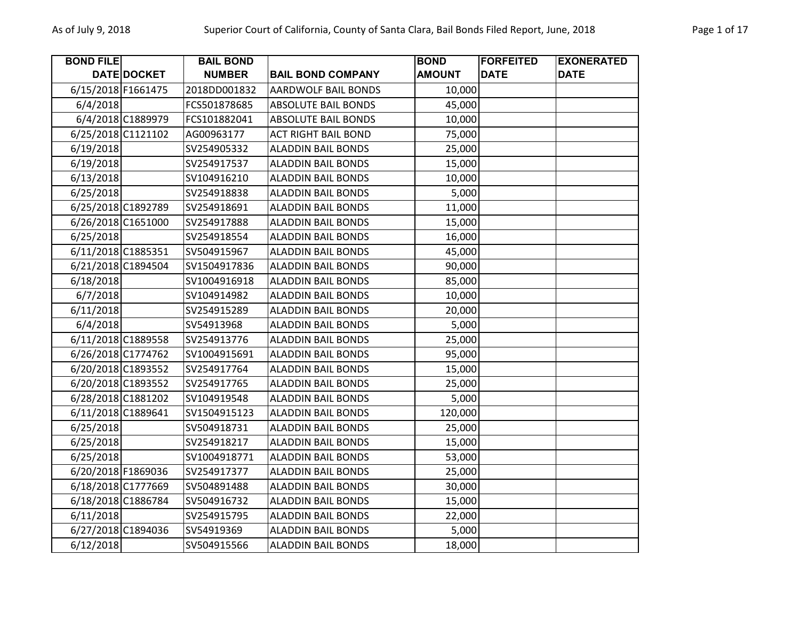| <b>BOND FILE</b>   |                    | <b>BAIL BOND</b> |                            | <b>BOND</b>   | <b>FORFEITED</b> | <b>EXONERATED</b> |
|--------------------|--------------------|------------------|----------------------------|---------------|------------------|-------------------|
|                    | DATE DOCKET        | <b>NUMBER</b>    | <b>BAIL BOND COMPANY</b>   | <b>AMOUNT</b> | <b>DATE</b>      | <b>DATE</b>       |
| 6/15/2018 F1661475 |                    | 2018DD001832     | <b>AARDWOLF BAIL BONDS</b> | 10,000        |                  |                   |
| 6/4/2018           |                    | FCS501878685     | <b>ABSOLUTE BAIL BONDS</b> | 45,000        |                  |                   |
|                    | 6/4/2018 C1889979  | FCS101882041     | <b>ABSOLUTE BAIL BONDS</b> | 10,000        |                  |                   |
| 6/25/2018 C1121102 |                    | AG00963177       | <b>ACT RIGHT BAIL BOND</b> | 75,000        |                  |                   |
| 6/19/2018          |                    | SV254905332      | <b>ALADDIN BAIL BONDS</b>  | 25,000        |                  |                   |
| 6/19/2018          |                    | SV254917537      | <b>ALADDIN BAIL BONDS</b>  | 15,000        |                  |                   |
| 6/13/2018          |                    | SV104916210      | <b>ALADDIN BAIL BONDS</b>  | 10,000        |                  |                   |
| 6/25/2018          |                    | SV254918838      | <b>ALADDIN BAIL BONDS</b>  | 5,000         |                  |                   |
| 6/25/2018 C1892789 |                    | SV254918691      | <b>ALADDIN BAIL BONDS</b>  | 11,000        |                  |                   |
| 6/26/2018 C1651000 |                    | SV254917888      | <b>ALADDIN BAIL BONDS</b>  | 15,000        |                  |                   |
| 6/25/2018          |                    | SV254918554      | <b>ALADDIN BAIL BONDS</b>  | 16,000        |                  |                   |
| 6/11/2018 C1885351 |                    | SV504915967      | <b>ALADDIN BAIL BONDS</b>  | 45,000        |                  |                   |
|                    | 6/21/2018 C1894504 | SV1504917836     | <b>ALADDIN BAIL BONDS</b>  | 90,000        |                  |                   |
| 6/18/2018          |                    | SV1004916918     | <b>ALADDIN BAIL BONDS</b>  | 85,000        |                  |                   |
| 6/7/2018           |                    | SV104914982      | <b>ALADDIN BAIL BONDS</b>  | 10,000        |                  |                   |
| 6/11/2018          |                    | SV254915289      | <b>ALADDIN BAIL BONDS</b>  | 20,000        |                  |                   |
| 6/4/2018           |                    | SV54913968       | <b>ALADDIN BAIL BONDS</b>  | 5,000         |                  |                   |
| 6/11/2018 C1889558 |                    | SV254913776      | <b>ALADDIN BAIL BONDS</b>  | 25,000        |                  |                   |
| 6/26/2018 C1774762 |                    | SV1004915691     | <b>ALADDIN BAIL BONDS</b>  | 95,000        |                  |                   |
| 6/20/2018 C1893552 |                    | SV254917764      | <b>ALADDIN BAIL BONDS</b>  | 15,000        |                  |                   |
| 6/20/2018 C1893552 |                    | SV254917765      | <b>ALADDIN BAIL BONDS</b>  | 25,000        |                  |                   |
| 6/28/2018 C1881202 |                    | SV104919548      | <b>ALADDIN BAIL BONDS</b>  | 5,000         |                  |                   |
| 6/11/2018 C1889641 |                    | SV1504915123     | <b>ALADDIN BAIL BONDS</b>  | 120,000       |                  |                   |
| 6/25/2018          |                    | SV504918731      | <b>ALADDIN BAIL BONDS</b>  | 25,000        |                  |                   |
| 6/25/2018          |                    | SV254918217      | <b>ALADDIN BAIL BONDS</b>  | 15,000        |                  |                   |
| 6/25/2018          |                    | SV1004918771     | <b>ALADDIN BAIL BONDS</b>  | 53,000        |                  |                   |
| 6/20/2018 F1869036 |                    | SV254917377      | <b>ALADDIN BAIL BONDS</b>  | 25,000        |                  |                   |
| 6/18/2018 C1777669 |                    | SV504891488      | <b>ALADDIN BAIL BONDS</b>  | 30,000        |                  |                   |
| 6/18/2018 C1886784 |                    | SV504916732      | <b>ALADDIN BAIL BONDS</b>  | 15,000        |                  |                   |
| 6/11/2018          |                    | SV254915795      | <b>ALADDIN BAIL BONDS</b>  | 22,000        |                  |                   |
| 6/27/2018 C1894036 |                    | SV54919369       | <b>ALADDIN BAIL BONDS</b>  | 5,000         |                  |                   |
| 6/12/2018          |                    | SV504915566      | <b>ALADDIN BAIL BONDS</b>  | 18,000        |                  |                   |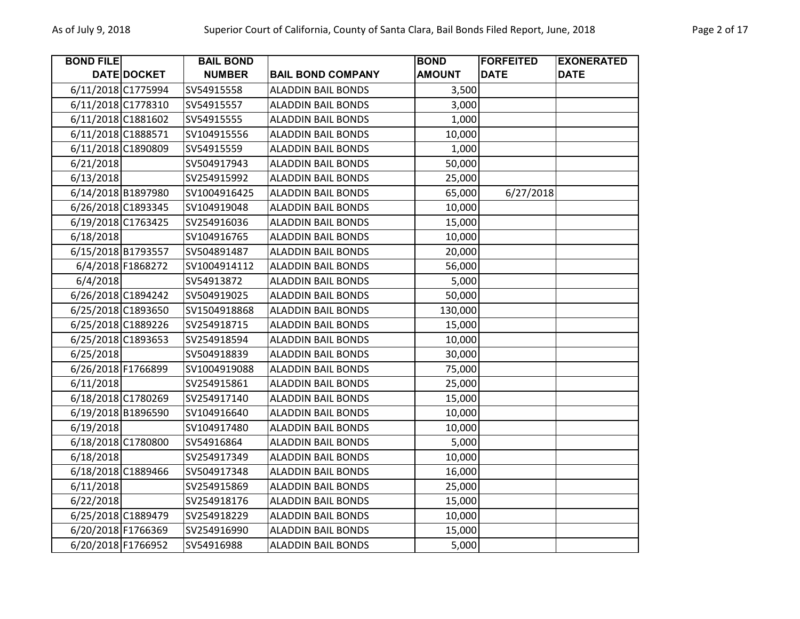| <b>BOND FILE</b>   |                    | <b>BAIL BOND</b> |                           | <b>BOND</b>   | <b>FORFEITED</b> | <b>EXONERATED</b> |
|--------------------|--------------------|------------------|---------------------------|---------------|------------------|-------------------|
|                    | <b>DATE DOCKET</b> | <b>NUMBER</b>    | <b>BAIL BOND COMPANY</b>  | <b>AMOUNT</b> | <b>DATE</b>      | <b>DATE</b>       |
| 6/11/2018 C1775994 |                    | SV54915558       | <b>ALADDIN BAIL BONDS</b> | 3,500         |                  |                   |
| 6/11/2018 C1778310 |                    | SV54915557       | <b>ALADDIN BAIL BONDS</b> | 3,000         |                  |                   |
| 6/11/2018 C1881602 |                    | SV54915555       | <b>ALADDIN BAIL BONDS</b> | 1,000         |                  |                   |
| 6/11/2018 C1888571 |                    | SV104915556      | <b>ALADDIN BAIL BONDS</b> | 10,000        |                  |                   |
| 6/11/2018 C1890809 |                    | SV54915559       | <b>ALADDIN BAIL BONDS</b> | 1,000         |                  |                   |
| 6/21/2018          |                    | SV504917943      | <b>ALADDIN BAIL BONDS</b> | 50,000        |                  |                   |
| 6/13/2018          |                    | SV254915992      | <b>ALADDIN BAIL BONDS</b> | 25,000        |                  |                   |
| 6/14/2018 B1897980 |                    | SV1004916425     | <b>ALADDIN BAIL BONDS</b> | 65,000        | 6/27/2018        |                   |
| 6/26/2018 C1893345 |                    | SV104919048      | <b>ALADDIN BAIL BONDS</b> | 10,000        |                  |                   |
| 6/19/2018 C1763425 |                    | SV254916036      | <b>ALADDIN BAIL BONDS</b> | 15,000        |                  |                   |
| 6/18/2018          |                    | SV104916765      | <b>ALADDIN BAIL BONDS</b> | 10,000        |                  |                   |
| 6/15/2018 B1793557 |                    | SV504891487      | <b>ALADDIN BAIL BONDS</b> | 20,000        |                  |                   |
|                    | 6/4/2018 F1868272  | SV1004914112     | <b>ALADDIN BAIL BONDS</b> | 56,000        |                  |                   |
| 6/4/2018           |                    | SV54913872       | <b>ALADDIN BAIL BONDS</b> | 5,000         |                  |                   |
| 6/26/2018 C1894242 |                    | SV504919025      | <b>ALADDIN BAIL BONDS</b> | 50,000        |                  |                   |
| 6/25/2018 C1893650 |                    | SV1504918868     | <b>ALADDIN BAIL BONDS</b> | 130,000       |                  |                   |
| 6/25/2018 C1889226 |                    | SV254918715      | <b>ALADDIN BAIL BONDS</b> | 15,000        |                  |                   |
| 6/25/2018 C1893653 |                    | SV254918594      | <b>ALADDIN BAIL BONDS</b> | 10,000        |                  |                   |
| 6/25/2018          |                    | SV504918839      | <b>ALADDIN BAIL BONDS</b> | 30,000        |                  |                   |
| 6/26/2018 F1766899 |                    | SV1004919088     | <b>ALADDIN BAIL BONDS</b> | 75,000        |                  |                   |
| 6/11/2018          |                    | SV254915861      | <b>ALADDIN BAIL BONDS</b> | 25,000        |                  |                   |
| 6/18/2018 C1780269 |                    | SV254917140      | <b>ALADDIN BAIL BONDS</b> | 15,000        |                  |                   |
| 6/19/2018 B1896590 |                    | SV104916640      | <b>ALADDIN BAIL BONDS</b> | 10,000        |                  |                   |
| 6/19/2018          |                    | SV104917480      | <b>ALADDIN BAIL BONDS</b> | 10,000        |                  |                   |
| 6/18/2018 C1780800 |                    | SV54916864       | <b>ALADDIN BAIL BONDS</b> | 5,000         |                  |                   |
| 6/18/2018          |                    | SV254917349      | <b>ALADDIN BAIL BONDS</b> | 10,000        |                  |                   |
| 6/18/2018 C1889466 |                    | SV504917348      | <b>ALADDIN BAIL BONDS</b> | 16,000        |                  |                   |
| 6/11/2018          |                    | SV254915869      | <b>ALADDIN BAIL BONDS</b> | 25,000        |                  |                   |
| 6/22/2018          |                    | SV254918176      | <b>ALADDIN BAIL BONDS</b> | 15,000        |                  |                   |
| 6/25/2018 C1889479 |                    | SV254918229      | <b>ALADDIN BAIL BONDS</b> | 10,000        |                  |                   |
| 6/20/2018 F1766369 |                    | SV254916990      | <b>ALADDIN BAIL BONDS</b> | 15,000        |                  |                   |
| 6/20/2018 F1766952 |                    | SV54916988       | <b>ALADDIN BAIL BONDS</b> | 5,000         |                  |                   |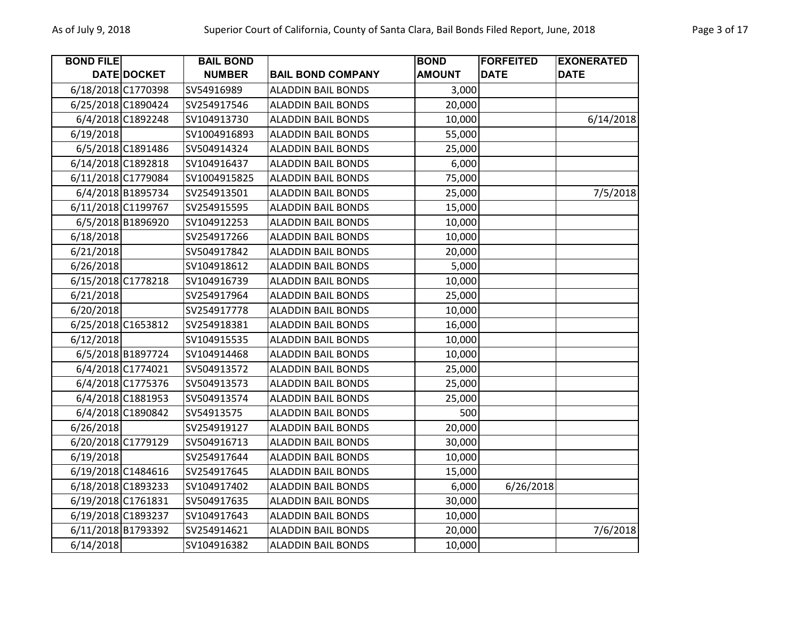| <b>BOND FILE</b> |                    | <b>BAIL BOND</b> |                           | <b>BOND</b>   | <b>FORFEITED</b> | <b>EXONERATED</b> |
|------------------|--------------------|------------------|---------------------------|---------------|------------------|-------------------|
|                  | DATE DOCKET        | <b>NUMBER</b>    | <b>BAIL BOND COMPANY</b>  | <b>AMOUNT</b> | <b>DATE</b>      | <b>DATE</b>       |
|                  | 6/18/2018 C1770398 | SV54916989       | <b>ALADDIN BAIL BONDS</b> | 3,000         |                  |                   |
|                  | 6/25/2018 C1890424 | SV254917546      | <b>ALADDIN BAIL BONDS</b> | 20,000        |                  |                   |
|                  | 6/4/2018 C1892248  | SV104913730      | <b>ALADDIN BAIL BONDS</b> | 10,000        |                  | 6/14/2018         |
| 6/19/2018        |                    | SV1004916893     | <b>ALADDIN BAIL BONDS</b> | 55,000        |                  |                   |
|                  | 6/5/2018 C1891486  | SV504914324      | <b>ALADDIN BAIL BONDS</b> | 25,000        |                  |                   |
|                  | 6/14/2018 C1892818 | SV104916437      | <b>ALADDIN BAIL BONDS</b> | 6,000         |                  |                   |
|                  | 6/11/2018 C1779084 | SV1004915825     | <b>ALADDIN BAIL BONDS</b> | 75,000        |                  |                   |
|                  | 6/4/2018 B1895734  | SV254913501      | <b>ALADDIN BAIL BONDS</b> | 25,000        |                  | 7/5/2018          |
|                  | 6/11/2018 C1199767 | SV254915595      | <b>ALADDIN BAIL BONDS</b> | 15,000        |                  |                   |
|                  | 6/5/2018 B1896920  | SV104912253      | <b>ALADDIN BAIL BONDS</b> | 10,000        |                  |                   |
| 6/18/2018        |                    | SV254917266      | <b>ALADDIN BAIL BONDS</b> | 10,000        |                  |                   |
| 6/21/2018        |                    | SV504917842      | <b>ALADDIN BAIL BONDS</b> | 20,000        |                  |                   |
| 6/26/2018        |                    | SV104918612      | <b>ALADDIN BAIL BONDS</b> | 5,000         |                  |                   |
|                  | 6/15/2018 C1778218 | SV104916739      | <b>ALADDIN BAIL BONDS</b> | 10,000        |                  |                   |
| 6/21/2018        |                    | SV254917964      | <b>ALADDIN BAIL BONDS</b> | 25,000        |                  |                   |
| 6/20/2018        |                    | SV254917778      | <b>ALADDIN BAIL BONDS</b> | 10,000        |                  |                   |
|                  | 6/25/2018 C1653812 | SV254918381      | <b>ALADDIN BAIL BONDS</b> | 16,000        |                  |                   |
| 6/12/2018        |                    | SV104915535      | <b>ALADDIN BAIL BONDS</b> | 10,000        |                  |                   |
|                  | 6/5/2018 B1897724  | SV104914468      | <b>ALADDIN BAIL BONDS</b> | 10,000        |                  |                   |
|                  | 6/4/2018 C1774021  | SV504913572      | <b>ALADDIN BAIL BONDS</b> | 25,000        |                  |                   |
|                  | 6/4/2018 C1775376  | SV504913573      | <b>ALADDIN BAIL BONDS</b> | 25,000        |                  |                   |
|                  | 6/4/2018 C1881953  | SV504913574      | <b>ALADDIN BAIL BONDS</b> | 25,000        |                  |                   |
|                  | 6/4/2018 C1890842  | SV54913575       | <b>ALADDIN BAIL BONDS</b> | 500           |                  |                   |
| 6/26/2018        |                    | SV254919127      | <b>ALADDIN BAIL BONDS</b> | 20,000        |                  |                   |
|                  | 6/20/2018 C1779129 | SV504916713      | <b>ALADDIN BAIL BONDS</b> | 30,000        |                  |                   |
| 6/19/2018        |                    | SV254917644      | <b>ALADDIN BAIL BONDS</b> | 10,000        |                  |                   |
|                  | 6/19/2018 C1484616 | SV254917645      | <b>ALADDIN BAIL BONDS</b> | 15,000        |                  |                   |
|                  | 6/18/2018 C1893233 | SV104917402      | <b>ALADDIN BAIL BONDS</b> | 6,000         | 6/26/2018        |                   |
|                  | 6/19/2018 C1761831 | SV504917635      | <b>ALADDIN BAIL BONDS</b> | 30,000        |                  |                   |
|                  | 6/19/2018 C1893237 | SV104917643      | <b>ALADDIN BAIL BONDS</b> | 10,000        |                  |                   |
|                  | 6/11/2018 B1793392 | SV254914621      | <b>ALADDIN BAIL BONDS</b> | 20,000        |                  | 7/6/2018          |
| 6/14/2018        |                    | SV104916382      | <b>ALADDIN BAIL BONDS</b> | 10,000        |                  |                   |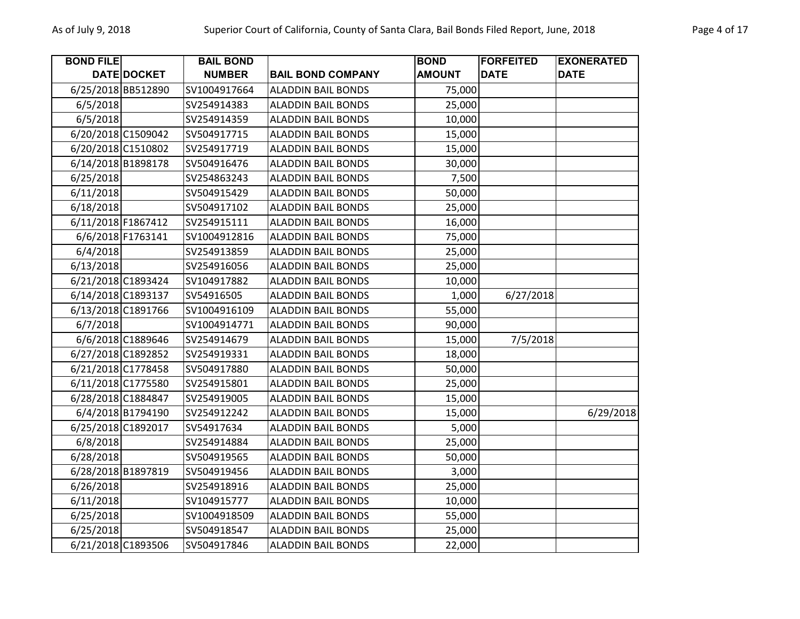| <b>BOND FILE</b>   |                    | <b>BAIL BOND</b> |                           | <b>BOND</b>   | <b>FORFEITED</b> | <b>EXONERATED</b> |
|--------------------|--------------------|------------------|---------------------------|---------------|------------------|-------------------|
|                    | <b>DATE DOCKET</b> | <b>NUMBER</b>    | <b>BAIL BOND COMPANY</b>  | <b>AMOUNT</b> | <b>DATE</b>      | <b>DATE</b>       |
| 6/25/2018 BB512890 |                    | SV1004917664     | <b>ALADDIN BAIL BONDS</b> | 75,000        |                  |                   |
| 6/5/2018           |                    | SV254914383      | <b>ALADDIN BAIL BONDS</b> | 25,000        |                  |                   |
| 6/5/2018           |                    | SV254914359      | <b>ALADDIN BAIL BONDS</b> | 10,000        |                  |                   |
| 6/20/2018 C1509042 |                    | SV504917715      | <b>ALADDIN BAIL BONDS</b> | 15,000        |                  |                   |
| 6/20/2018 C1510802 |                    | SV254917719      | <b>ALADDIN BAIL BONDS</b> | 15,000        |                  |                   |
| 6/14/2018 B1898178 |                    | SV504916476      | <b>ALADDIN BAIL BONDS</b> | 30,000        |                  |                   |
| 6/25/2018          |                    | SV254863243      | <b>ALADDIN BAIL BONDS</b> | 7,500         |                  |                   |
| 6/11/2018          |                    | SV504915429      | <b>ALADDIN BAIL BONDS</b> | 50,000        |                  |                   |
| 6/18/2018          |                    | SV504917102      | <b>ALADDIN BAIL BONDS</b> | 25,000        |                  |                   |
| 6/11/2018 F1867412 |                    | SV254915111      | <b>ALADDIN BAIL BONDS</b> | 16,000        |                  |                   |
|                    | 6/6/2018 F1763141  | SV1004912816     | <b>ALADDIN BAIL BONDS</b> | 75,000        |                  |                   |
| 6/4/2018           |                    | SV254913859      | <b>ALADDIN BAIL BONDS</b> | 25,000        |                  |                   |
| 6/13/2018          |                    | SV254916056      | <b>ALADDIN BAIL BONDS</b> | 25,000        |                  |                   |
| 6/21/2018 C1893424 |                    | SV104917882      | <b>ALADDIN BAIL BONDS</b> | 10,000        |                  |                   |
| 6/14/2018 C1893137 |                    | SV54916505       | <b>ALADDIN BAIL BONDS</b> | 1,000         | 6/27/2018        |                   |
| 6/13/2018 C1891766 |                    | SV1004916109     | <b>ALADDIN BAIL BONDS</b> | 55,000        |                  |                   |
| 6/7/2018           |                    | SV1004914771     | <b>ALADDIN BAIL BONDS</b> | 90,000        |                  |                   |
|                    | 6/6/2018 C1889646  | SV254914679      | <b>ALADDIN BAIL BONDS</b> | 15,000        | 7/5/2018         |                   |
| 6/27/2018 C1892852 |                    | SV254919331      | <b>ALADDIN BAIL BONDS</b> | 18,000        |                  |                   |
| 6/21/2018 C1778458 |                    | SV504917880      | <b>ALADDIN BAIL BONDS</b> | 50,000        |                  |                   |
| 6/11/2018 C1775580 |                    | SV254915801      | <b>ALADDIN BAIL BONDS</b> | 25,000        |                  |                   |
| 6/28/2018 C1884847 |                    | SV254919005      | <b>ALADDIN BAIL BONDS</b> | 15,000        |                  |                   |
|                    | 6/4/2018 B1794190  | SV254912242      | <b>ALADDIN BAIL BONDS</b> | 15,000        |                  | 6/29/2018         |
| 6/25/2018 C1892017 |                    | SV54917634       | <b>ALADDIN BAIL BONDS</b> | 5,000         |                  |                   |
| 6/8/2018           |                    | SV254914884      | <b>ALADDIN BAIL BONDS</b> | 25,000        |                  |                   |
| 6/28/2018          |                    | SV504919565      | <b>ALADDIN BAIL BONDS</b> | 50,000        |                  |                   |
| 6/28/2018 B1897819 |                    | SV504919456      | <b>ALADDIN BAIL BONDS</b> | 3,000         |                  |                   |
| 6/26/2018          |                    | SV254918916      | <b>ALADDIN BAIL BONDS</b> | 25,000        |                  |                   |
| 6/11/2018          |                    | SV104915777      | <b>ALADDIN BAIL BONDS</b> | 10,000        |                  |                   |
| 6/25/2018          |                    | SV1004918509     | <b>ALADDIN BAIL BONDS</b> | 55,000        |                  |                   |
| 6/25/2018          |                    | SV504918547      | <b>ALADDIN BAIL BONDS</b> | 25,000        |                  |                   |
| 6/21/2018 C1893506 |                    | SV504917846      | <b>ALADDIN BAIL BONDS</b> | 22,000        |                  |                   |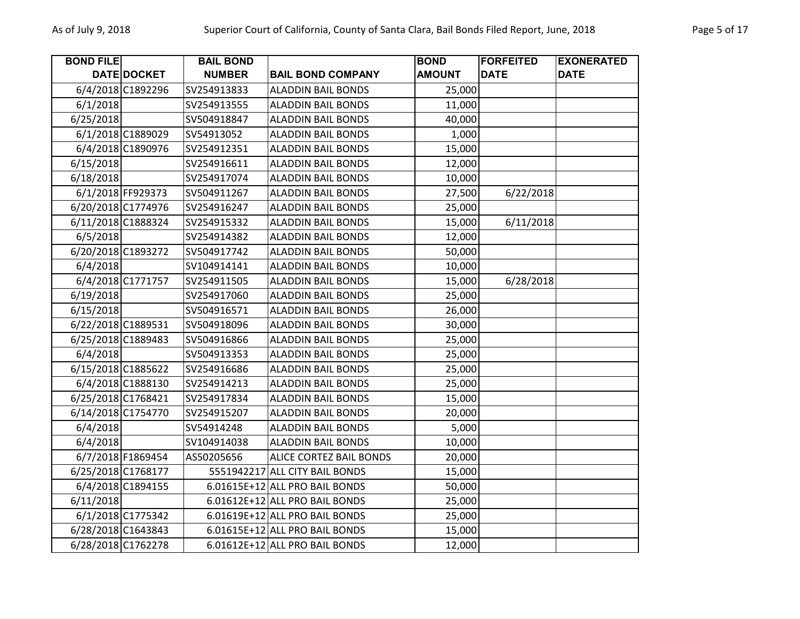| <b>BOND FILE</b>   |                   | <b>BAIL BOND</b> |                                | <b>BOND</b>   | <b>FORFEITED</b> | <b>EXONERATED</b> |
|--------------------|-------------------|------------------|--------------------------------|---------------|------------------|-------------------|
|                    | DATE DOCKET       | <b>NUMBER</b>    | <b>BAIL BOND COMPANY</b>       | <b>AMOUNT</b> | <b>DATE</b>      | <b>DATE</b>       |
|                    | 6/4/2018 C1892296 | SV254913833      | <b>ALADDIN BAIL BONDS</b>      | 25,000        |                  |                   |
| 6/1/2018           |                   | SV254913555      | <b>ALADDIN BAIL BONDS</b>      | 11,000        |                  |                   |
| 6/25/2018          |                   | SV504918847      | <b>ALADDIN BAIL BONDS</b>      | 40,000        |                  |                   |
|                    | 6/1/2018 C1889029 | SV54913052       | <b>ALADDIN BAIL BONDS</b>      | 1,000         |                  |                   |
|                    | 6/4/2018 C1890976 | SV254912351      | <b>ALADDIN BAIL BONDS</b>      | 15,000        |                  |                   |
| 6/15/2018          |                   | SV254916611      | <b>ALADDIN BAIL BONDS</b>      | 12,000        |                  |                   |
| 6/18/2018          |                   | SV254917074      | <b>ALADDIN BAIL BONDS</b>      | 10,000        |                  |                   |
|                    | 6/1/2018 FF929373 | SV504911267      | <b>ALADDIN BAIL BONDS</b>      | 27,500        | 6/22/2018        |                   |
| 6/20/2018 C1774976 |                   | SV254916247      | <b>ALADDIN BAIL BONDS</b>      | 25,000        |                  |                   |
| 6/11/2018 C1888324 |                   | SV254915332      | <b>ALADDIN BAIL BONDS</b>      | 15,000        | 6/11/2018        |                   |
| 6/5/2018           |                   | SV254914382      | <b>ALADDIN BAIL BONDS</b>      | 12,000        |                  |                   |
| 6/20/2018 C1893272 |                   | SV504917742      | <b>ALADDIN BAIL BONDS</b>      | 50,000        |                  |                   |
| 6/4/2018           |                   | SV104914141      | ALADDIN BAIL BONDS             | 10,000        |                  |                   |
|                    | 6/4/2018 C1771757 | SV254911505      | <b>ALADDIN BAIL BONDS</b>      | 15,000        | 6/28/2018        |                   |
| 6/19/2018          |                   | SV254917060      | <b>ALADDIN BAIL BONDS</b>      | 25,000        |                  |                   |
| 6/15/2018          |                   | SV504916571      | <b>ALADDIN BAIL BONDS</b>      | 26,000        |                  |                   |
| 6/22/2018 C1889531 |                   | SV504918096      | <b>ALADDIN BAIL BONDS</b>      | 30,000        |                  |                   |
| 6/25/2018 C1889483 |                   | SV504916866      | <b>ALADDIN BAIL BONDS</b>      | 25,000        |                  |                   |
| 6/4/2018           |                   | SV504913353      | <b>ALADDIN BAIL BONDS</b>      | 25,000        |                  |                   |
| 6/15/2018 C1885622 |                   | SV254916686      | <b>ALADDIN BAIL BONDS</b>      | 25,000        |                  |                   |
|                    | 6/4/2018 C1888130 | SV254914213      | <b>ALADDIN BAIL BONDS</b>      | 25,000        |                  |                   |
| 6/25/2018 C1768421 |                   | SV254917834      | <b>ALADDIN BAIL BONDS</b>      | 15,000        |                  |                   |
| 6/14/2018 C1754770 |                   | SV254915207      | <b>ALADDIN BAIL BONDS</b>      | 20,000        |                  |                   |
| 6/4/2018           |                   | SV54914248       | <b>ALADDIN BAIL BONDS</b>      | 5,000         |                  |                   |
| 6/4/2018           |                   | SV104914038      | <b>ALADDIN BAIL BONDS</b>      | 10,000        |                  |                   |
|                    | 6/7/2018 F1869454 | AS50205656       | <b>ALICE CORTEZ BAIL BONDS</b> | 20,000        |                  |                   |
| 6/25/2018 C1768177 |                   |                  | 5551942217 ALL CITY BAIL BONDS | 15,000        |                  |                   |
|                    | 6/4/2018 C1894155 |                  | 6.01615E+12 ALL PRO BAIL BONDS | 50,000        |                  |                   |
| 6/11/2018          |                   |                  | 6.01612E+12 ALL PRO BAIL BONDS | 25,000        |                  |                   |
|                    | 6/1/2018 C1775342 |                  | 6.01619E+12 ALL PRO BAIL BONDS | 25,000        |                  |                   |
| 6/28/2018 C1643843 |                   |                  | 6.01615E+12 ALL PRO BAIL BONDS | 15,000        |                  |                   |
| 6/28/2018 C1762278 |                   |                  | 6.01612E+12 ALL PRO BAIL BONDS | 12,000        |                  |                   |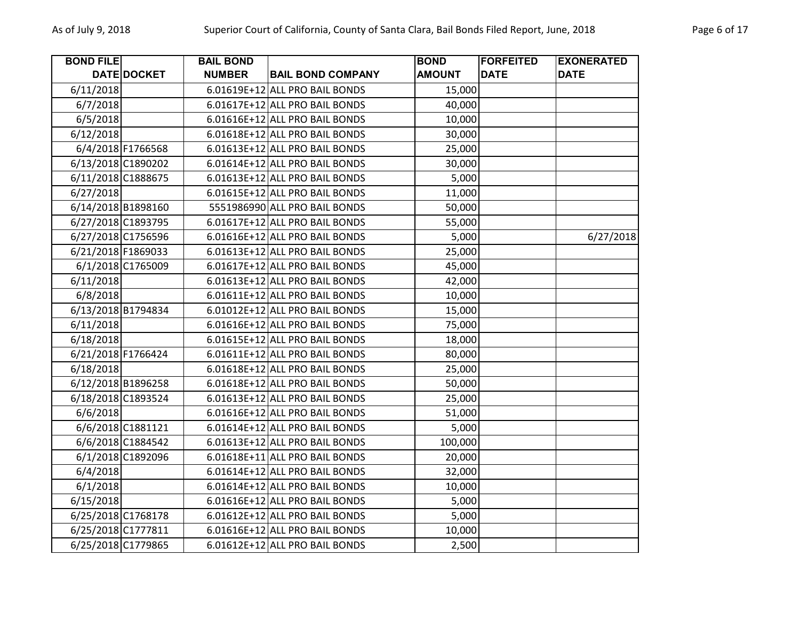| Page 6 |
|--------|
|        |

| <b>BOND FILE</b> |                    | <b>BAIL BOND</b> |                                | <b>BOND</b>   | <b>FORFEITED</b> | <b>EXONERATED</b> |
|------------------|--------------------|------------------|--------------------------------|---------------|------------------|-------------------|
|                  | DATE DOCKET        | <b>NUMBER</b>    | <b>BAIL BOND COMPANY</b>       | <b>AMOUNT</b> | <b>DATE</b>      | <b>DATE</b>       |
| 6/11/2018        |                    |                  | 6.01619E+12 ALL PRO BAIL BONDS | 15,000        |                  |                   |
| 6/7/2018         |                    |                  | 6.01617E+12 ALL PRO BAIL BONDS | 40,000        |                  |                   |
| 6/5/2018         |                    |                  | 6.01616E+12 ALL PRO BAIL BONDS | 10,000        |                  |                   |
| 6/12/2018        |                    |                  | 6.01618E+12 ALL PRO BAIL BONDS | 30,000        |                  |                   |
|                  | 6/4/2018 F1766568  |                  | 6.01613E+12 ALL PRO BAIL BONDS | 25,000        |                  |                   |
|                  | 6/13/2018 C1890202 |                  | 6.01614E+12 ALL PRO BAIL BONDS | 30,000        |                  |                   |
|                  | 6/11/2018 C1888675 |                  | 6.01613E+12 ALL PRO BAIL BONDS | 5,000         |                  |                   |
| 6/27/2018        |                    |                  | 6.01615E+12 ALL PRO BAIL BONDS | 11,000        |                  |                   |
|                  | 6/14/2018 B1898160 |                  | 5551986990 ALL PRO BAIL BONDS  | 50,000        |                  |                   |
|                  | 6/27/2018 C1893795 |                  | 6.01617E+12 ALL PRO BAIL BONDS | 55,000        |                  |                   |
|                  | 6/27/2018 C1756596 |                  | 6.01616E+12 ALL PRO BAIL BONDS | 5,000         |                  | 6/27/2018         |
|                  | 6/21/2018 F1869033 |                  | 6.01613E+12 ALL PRO BAIL BONDS | 25,000        |                  |                   |
|                  | 6/1/2018 C1765009  |                  | 6.01617E+12 ALL PRO BAIL BONDS | 45,000        |                  |                   |
| 6/11/2018        |                    |                  | 6.01613E+12 ALL PRO BAIL BONDS | 42,000        |                  |                   |
| 6/8/2018         |                    |                  | 6.01611E+12 ALL PRO BAIL BONDS | 10,000        |                  |                   |
|                  | 6/13/2018 B1794834 |                  | 6.01012E+12 ALL PRO BAIL BONDS | 15,000        |                  |                   |
| 6/11/2018        |                    |                  | 6.01616E+12 ALL PRO BAIL BONDS | 75,000        |                  |                   |
| 6/18/2018        |                    |                  | 6.01615E+12 ALL PRO BAIL BONDS | 18,000        |                  |                   |
|                  | 6/21/2018 F1766424 |                  | 6.01611E+12 ALL PRO BAIL BONDS | 80,000        |                  |                   |
| 6/18/2018        |                    |                  | 6.01618E+12 ALL PRO BAIL BONDS | 25,000        |                  |                   |
|                  | 6/12/2018 B1896258 |                  | 6.01618E+12 ALL PRO BAIL BONDS | 50,000        |                  |                   |
|                  | 6/18/2018 C1893524 |                  | 6.01613E+12 ALL PRO BAIL BONDS | 25,000        |                  |                   |
| 6/6/2018         |                    |                  | 6.01616E+12 ALL PRO BAIL BONDS | 51,000        |                  |                   |
|                  | 6/6/2018 C1881121  |                  | 6.01614E+12 ALL PRO BAIL BONDS | 5,000         |                  |                   |
|                  | 6/6/2018 C1884542  |                  | 6.01613E+12 ALL PRO BAIL BONDS | 100,000       |                  |                   |
|                  | 6/1/2018 C1892096  |                  | 6.01618E+11 ALL PRO BAIL BONDS | 20,000        |                  |                   |
| 6/4/2018         |                    |                  | 6.01614E+12 ALL PRO BAIL BONDS | 32,000        |                  |                   |
| 6/1/2018         |                    |                  | 6.01614E+12 ALL PRO BAIL BONDS | 10,000        |                  |                   |
| 6/15/2018        |                    |                  | 6.01616E+12 ALL PRO BAIL BONDS | 5,000         |                  |                   |
|                  | 6/25/2018 C1768178 |                  | 6.01612E+12 ALL PRO BAIL BONDS | 5,000         |                  |                   |
|                  | 6/25/2018 C1777811 |                  | 6.01616E+12 ALL PRO BAIL BONDS | 10,000        |                  |                   |
|                  | 6/25/2018 C1779865 |                  | 6.01612E+12 ALL PRO BAIL BONDS | 2,500         |                  |                   |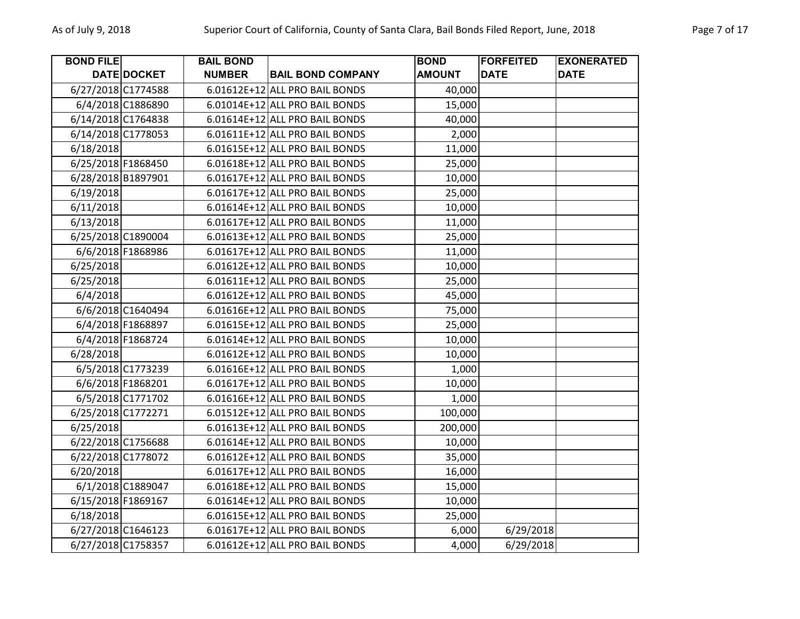| <b>BOND FILE</b>   |                   | <b>BAIL BOND</b> |                                | <b>BOND</b>   | <b>FORFEITED</b> | <b>EXONERATED</b> |
|--------------------|-------------------|------------------|--------------------------------|---------------|------------------|-------------------|
|                    | DATE DOCKET       | <b>NUMBER</b>    | <b>BAIL BOND COMPANY</b>       | <b>AMOUNT</b> | <b>DATE</b>      | <b>DATE</b>       |
| 6/27/2018 C1774588 |                   |                  | 6.01612E+12 ALL PRO BAIL BONDS | 40,000        |                  |                   |
|                    | 6/4/2018 C1886890 |                  | 6.01014E+12 ALL PRO BAIL BONDS | 15,000        |                  |                   |
| 6/14/2018 C1764838 |                   |                  | 6.01614E+12 ALL PRO BAIL BONDS | 40,000        |                  |                   |
| 6/14/2018 C1778053 |                   |                  | 6.01611E+12 ALL PRO BAIL BONDS | 2,000         |                  |                   |
| 6/18/2018          |                   |                  | 6.01615E+12 ALL PRO BAIL BONDS | 11,000        |                  |                   |
| 6/25/2018 F1868450 |                   |                  | 6.01618E+12 ALL PRO BAIL BONDS | 25,000        |                  |                   |
| 6/28/2018 B1897901 |                   |                  | 6.01617E+12 ALL PRO BAIL BONDS | 10,000        |                  |                   |
| 6/19/2018          |                   |                  | 6.01617E+12 ALL PRO BAIL BONDS | 25,000        |                  |                   |
| 6/11/2018          |                   |                  | 6.01614E+12 ALL PRO BAIL BONDS | 10,000        |                  |                   |
| 6/13/2018          |                   |                  | 6.01617E+12 ALL PRO BAIL BONDS | 11,000        |                  |                   |
| 6/25/2018 C1890004 |                   |                  | 6.01613E+12 ALL PRO BAIL BONDS | 25,000        |                  |                   |
|                    | 6/6/2018 F1868986 |                  | 6.01617E+12 ALL PRO BAIL BONDS | 11,000        |                  |                   |
| 6/25/2018          |                   |                  | 6.01612E+12 ALL PRO BAIL BONDS | 10,000        |                  |                   |
| 6/25/2018          |                   |                  | 6.01611E+12 ALL PRO BAIL BONDS | 25,000        |                  |                   |
| 6/4/2018           |                   |                  | 6.01612E+12 ALL PRO BAIL BONDS | 45,000        |                  |                   |
|                    | 6/6/2018 C1640494 |                  | 6.01616E+12 ALL PRO BAIL BONDS | 75,000        |                  |                   |
|                    | 6/4/2018 F1868897 |                  | 6.01615E+12 ALL PRO BAIL BONDS | 25,000        |                  |                   |
|                    | 6/4/2018 F1868724 |                  | 6.01614E+12 ALL PRO BAIL BONDS | 10,000        |                  |                   |
| 6/28/2018          |                   |                  | 6.01612E+12 ALL PRO BAIL BONDS | 10,000        |                  |                   |
|                    | 6/5/2018 C1773239 |                  | 6.01616E+12 ALL PRO BAIL BONDS | 1,000         |                  |                   |
|                    | 6/6/2018 F1868201 |                  | 6.01617E+12 ALL PRO BAIL BONDS | 10,000        |                  |                   |
|                    | 6/5/2018 C1771702 |                  | 6.01616E+12 ALL PRO BAIL BONDS | 1,000         |                  |                   |
| 6/25/2018 C1772271 |                   |                  | 6.01512E+12 ALL PRO BAIL BONDS | 100,000       |                  |                   |
| 6/25/2018          |                   |                  | 6.01613E+12 ALL PRO BAIL BONDS | 200,000       |                  |                   |
| 6/22/2018 C1756688 |                   |                  | 6.01614E+12 ALL PRO BAIL BONDS | 10,000        |                  |                   |
| 6/22/2018 C1778072 |                   |                  | 6.01612E+12 ALL PRO BAIL BONDS | 35,000        |                  |                   |
| 6/20/2018          |                   |                  | 6.01617E+12 ALL PRO BAIL BONDS | 16,000        |                  |                   |
|                    | 6/1/2018 C1889047 |                  | 6.01618E+12 ALL PRO BAIL BONDS | 15,000        |                  |                   |
| 6/15/2018 F1869167 |                   |                  | 6.01614E+12 ALL PRO BAIL BONDS | 10,000        |                  |                   |
| 6/18/2018          |                   |                  | 6.01615E+12 ALL PRO BAIL BONDS | 25,000        |                  |                   |
| 6/27/2018 C1646123 |                   |                  | 6.01617E+12 ALL PRO BAIL BONDS | 6,000         | 6/29/2018        |                   |
| 6/27/2018 C1758357 |                   |                  | 6.01612E+12 ALL PRO BAIL BONDS | 4,000         | 6/29/2018        |                   |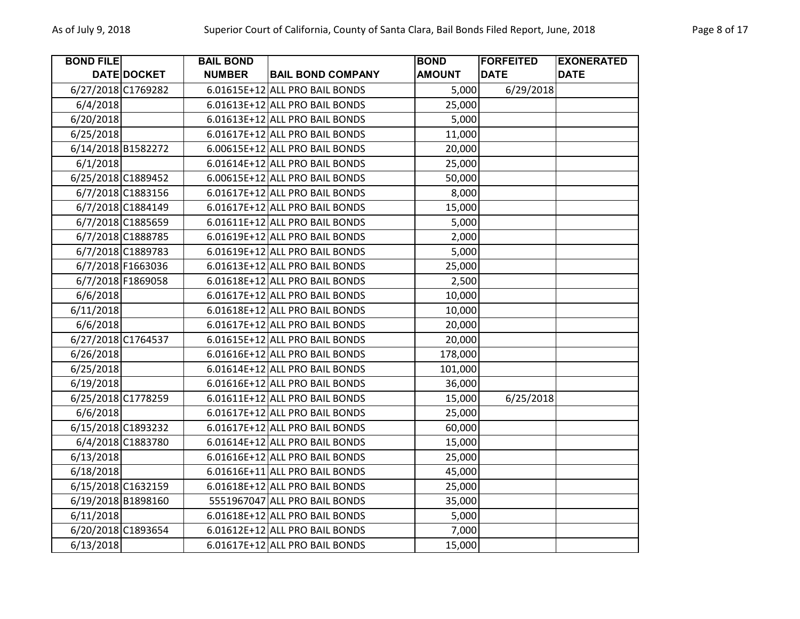| <b>BOND FILE</b>   |                    | <b>BAIL BOND</b> |                                | <b>BOND</b>   | <b>FORFEITED</b> | <b>EXONERATED</b> |
|--------------------|--------------------|------------------|--------------------------------|---------------|------------------|-------------------|
|                    | DATE DOCKET        | <b>NUMBER</b>    | <b>BAIL BOND COMPANY</b>       | <b>AMOUNT</b> | <b>DATE</b>      | <b>DATE</b>       |
| 6/27/2018 C1769282 |                    |                  | 6.01615E+12 ALL PRO BAIL BONDS | 5,000         | 6/29/2018        |                   |
| 6/4/2018           |                    |                  | 6.01613E+12 ALL PRO BAIL BONDS | 25,000        |                  |                   |
| 6/20/2018          |                    |                  | 6.01613E+12 ALL PRO BAIL BONDS | 5,000         |                  |                   |
| 6/25/2018          |                    |                  | 6.01617E+12 ALL PRO BAIL BONDS | 11,000        |                  |                   |
|                    | 6/14/2018 B1582272 |                  | 6.00615E+12 ALL PRO BAIL BONDS | 20,000        |                  |                   |
| 6/1/2018           |                    |                  | 6.01614E+12 ALL PRO BAIL BONDS | 25,000        |                  |                   |
| 6/25/2018 C1889452 |                    |                  | 6.00615E+12 ALL PRO BAIL BONDS | 50,000        |                  |                   |
|                    | 6/7/2018 C1883156  |                  | 6.01617E+12 ALL PRO BAIL BONDS | 8,000         |                  |                   |
|                    | 6/7/2018 C1884149  |                  | 6.01617E+12 ALL PRO BAIL BONDS | 15,000        |                  |                   |
|                    | 6/7/2018 C1885659  |                  | 6.01611E+12 ALL PRO BAIL BONDS | 5,000         |                  |                   |
|                    | 6/7/2018 C1888785  |                  | 6.01619E+12 ALL PRO BAIL BONDS | 2,000         |                  |                   |
|                    | 6/7/2018 C1889783  |                  | 6.01619E+12 ALL PRO BAIL BONDS | 5,000         |                  |                   |
|                    | 6/7/2018 F1663036  |                  | 6.01613E+12 ALL PRO BAIL BONDS | 25,000        |                  |                   |
|                    | 6/7/2018 F1869058  |                  | 6.01618E+12 ALL PRO BAIL BONDS | 2,500         |                  |                   |
| 6/6/2018           |                    |                  | 6.01617E+12 ALL PRO BAIL BONDS | 10,000        |                  |                   |
| 6/11/2018          |                    |                  | 6.01618E+12 ALL PRO BAIL BONDS | 10,000        |                  |                   |
| 6/6/2018           |                    |                  | 6.01617E+12 ALL PRO BAIL BONDS | 20,000        |                  |                   |
|                    | 6/27/2018 C1764537 |                  | 6.01615E+12 ALL PRO BAIL BONDS | 20,000        |                  |                   |
| 6/26/2018          |                    |                  | 6.01616E+12 ALL PRO BAIL BONDS | 178,000       |                  |                   |
| 6/25/2018          |                    |                  | 6.01614E+12 ALL PRO BAIL BONDS | 101,000       |                  |                   |
| 6/19/2018          |                    |                  | 6.01616E+12 ALL PRO BAIL BONDS | 36,000        |                  |                   |
| 6/25/2018 C1778259 |                    |                  | 6.01611E+12 ALL PRO BAIL BONDS | 15,000        | 6/25/2018        |                   |
| 6/6/2018           |                    |                  | 6.01617E+12 ALL PRO BAIL BONDS | 25,000        |                  |                   |
|                    | 6/15/2018 C1893232 |                  | 6.01617E+12 ALL PRO BAIL BONDS | 60,000        |                  |                   |
|                    | 6/4/2018 C1883780  |                  | 6.01614E+12 ALL PRO BAIL BONDS | 15,000        |                  |                   |
| 6/13/2018          |                    |                  | 6.01616E+12 ALL PRO BAIL BONDS | 25,000        |                  |                   |
| 6/18/2018          |                    |                  | 6.01616E+11 ALL PRO BAIL BONDS | 45,000        |                  |                   |
|                    | 6/15/2018 C1632159 |                  | 6.01618E+12 ALL PRO BAIL BONDS | 25,000        |                  |                   |
|                    | 6/19/2018 B1898160 |                  | 5551967047 ALL PRO BAIL BONDS  | 35,000        |                  |                   |
| 6/11/2018          |                    |                  | 6.01618E+12 ALL PRO BAIL BONDS | 5,000         |                  |                   |
|                    | 6/20/2018 C1893654 |                  | 6.01612E+12 ALL PRO BAIL BONDS | 7,000         |                  |                   |
| 6/13/2018          |                    |                  | 6.01617E+12 ALL PRO BAIL BONDS | 15,000        |                  |                   |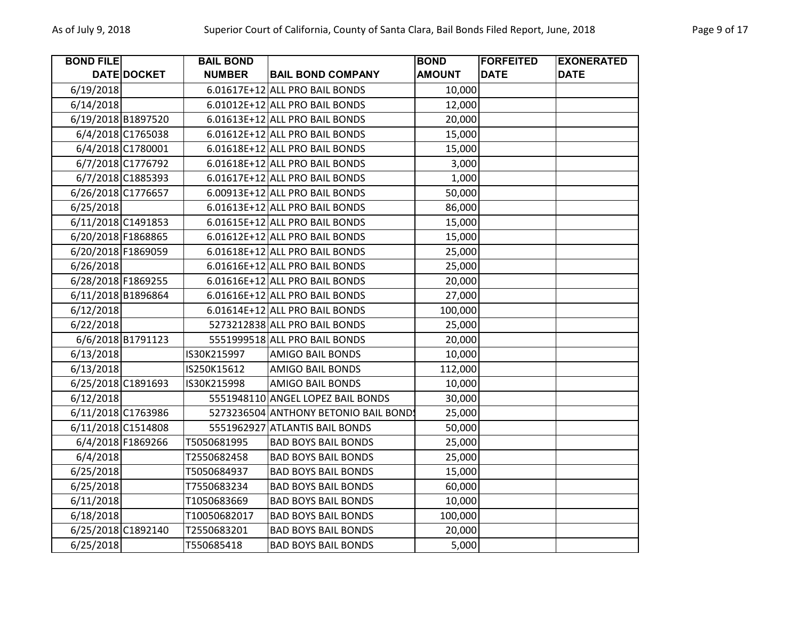| <b>BOND FILE</b>   |                   | <b>BAIL BOND</b> |                                       | <b>BOND</b>   | <b>FORFEITED</b> | <b>EXONERATED</b> |
|--------------------|-------------------|------------------|---------------------------------------|---------------|------------------|-------------------|
|                    | DATE DOCKET       | <b>NUMBER</b>    | <b>BAIL BOND COMPANY</b>              | <b>AMOUNT</b> | <b>DATE</b>      | <b>DATE</b>       |
| 6/19/2018          |                   |                  | 6.01617E+12 ALL PRO BAIL BONDS        | 10,000        |                  |                   |
| 6/14/2018          |                   |                  | 6.01012E+12 ALL PRO BAIL BONDS        | 12,000        |                  |                   |
| 6/19/2018 B1897520 |                   |                  | 6.01613E+12 ALL PRO BAIL BONDS        | 20,000        |                  |                   |
|                    | 6/4/2018 C1765038 |                  | 6.01612E+12 ALL PRO BAIL BONDS        | 15,000        |                  |                   |
|                    | 6/4/2018 C1780001 |                  | 6.01618E+12 ALL PRO BAIL BONDS        | 15,000        |                  |                   |
|                    | 6/7/2018 C1776792 |                  | 6.01618E+12 ALL PRO BAIL BONDS        | 3,000         |                  |                   |
|                    | 6/7/2018 C1885393 |                  | 6.01617E+12 ALL PRO BAIL BONDS        | 1,000         |                  |                   |
| 6/26/2018 C1776657 |                   |                  | 6.00913E+12 ALL PRO BAIL BONDS        | 50,000        |                  |                   |
| 6/25/2018          |                   |                  | 6.01613E+12 ALL PRO BAIL BONDS        | 86,000        |                  |                   |
| 6/11/2018 C1491853 |                   |                  | 6.01615E+12 ALL PRO BAIL BONDS        | 15,000        |                  |                   |
| 6/20/2018 F1868865 |                   |                  | 6.01612E+12 ALL PRO BAIL BONDS        | 15,000        |                  |                   |
| 6/20/2018 F1869059 |                   |                  | 6.01618E+12 ALL PRO BAIL BONDS        | 25,000        |                  |                   |
| 6/26/2018          |                   |                  | 6.01616E+12 ALL PRO BAIL BONDS        | 25,000        |                  |                   |
| 6/28/2018 F1869255 |                   |                  | 6.01616E+12 ALL PRO BAIL BONDS        | 20,000        |                  |                   |
| 6/11/2018 B1896864 |                   |                  | 6.01616E+12 ALL PRO BAIL BONDS        | 27,000        |                  |                   |
| 6/12/2018          |                   |                  | 6.01614E+12 ALL PRO BAIL BONDS        | 100,000       |                  |                   |
| 6/22/2018          |                   |                  | 5273212838 ALL PRO BAIL BONDS         | 25,000        |                  |                   |
|                    | 6/6/2018 B1791123 |                  | 5551999518 ALL PRO BAIL BONDS         | 20,000        |                  |                   |
| 6/13/2018          |                   | IS30K215997      | <b>AMIGO BAIL BONDS</b>               | 10,000        |                  |                   |
| 6/13/2018          |                   | IS250K15612      | <b>AMIGO BAIL BONDS</b>               | 112,000       |                  |                   |
| 6/25/2018 C1891693 |                   | IS30K215998      | <b>AMIGO BAIL BONDS</b>               | 10,000        |                  |                   |
| 6/12/2018          |                   |                  | 5551948110 ANGEL LOPEZ BAIL BONDS     | 30,000        |                  |                   |
| 6/11/2018 C1763986 |                   |                  | 5273236504 ANTHONY BETONIO BAIL BONDS | 25,000        |                  |                   |
| 6/11/2018 C1514808 |                   |                  | 5551962927 ATLANTIS BAIL BONDS        | 50,000        |                  |                   |
|                    | 6/4/2018 F1869266 | T5050681995      | <b>BAD BOYS BAIL BONDS</b>            | 25,000        |                  |                   |
| 6/4/2018           |                   | T2550682458      | <b>BAD BOYS BAIL BONDS</b>            | 25,000        |                  |                   |
| 6/25/2018          |                   | T5050684937      | <b>BAD BOYS BAIL BONDS</b>            | 15,000        |                  |                   |
| 6/25/2018          |                   | T7550683234      | <b>BAD BOYS BAIL BONDS</b>            | 60,000        |                  |                   |
| 6/11/2018          |                   | T1050683669      | <b>BAD BOYS BAIL BONDS</b>            | 10,000        |                  |                   |
| 6/18/2018          |                   | T10050682017     | <b>BAD BOYS BAIL BONDS</b>            | 100,000       |                  |                   |
| 6/25/2018 C1892140 |                   | T2550683201      | <b>BAD BOYS BAIL BONDS</b>            | 20,000        |                  |                   |
| 6/25/2018          |                   | T550685418       | <b>BAD BOYS BAIL BONDS</b>            | 5,000         |                  |                   |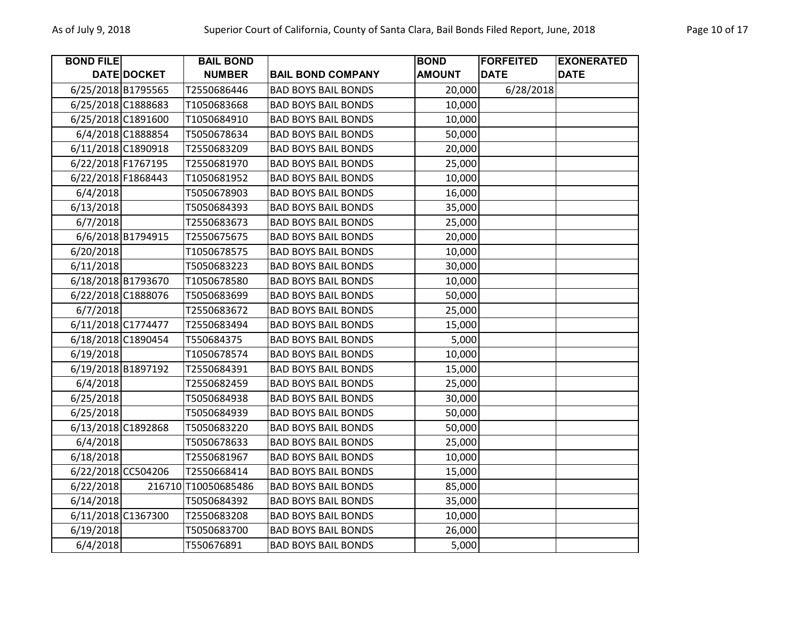| <b>BOND FILE</b>   |                    | <b>BAIL BOND</b>    |                            | <b>BOND</b>   | <b>FORFEITED</b> | <b>EXONERATED</b> |
|--------------------|--------------------|---------------------|----------------------------|---------------|------------------|-------------------|
|                    | DATE DOCKET        | <b>NUMBER</b>       | <b>BAIL BOND COMPANY</b>   | <b>AMOUNT</b> | <b>DATE</b>      | <b>DATE</b>       |
| 6/25/2018 B1795565 |                    | T2550686446         | <b>BAD BOYS BAIL BONDS</b> | 20,000        | 6/28/2018        |                   |
| 6/25/2018 C1888683 |                    | T1050683668         | <b>BAD BOYS BAIL BONDS</b> | 10,000        |                  |                   |
| 6/25/2018 C1891600 |                    | T1050684910         | <b>BAD BOYS BAIL BONDS</b> | 10,000        |                  |                   |
|                    | 6/4/2018 C1888854  | T5050678634         | <b>BAD BOYS BAIL BONDS</b> | 50,000        |                  |                   |
| 6/11/2018 C1890918 |                    | T2550683209         | <b>BAD BOYS BAIL BONDS</b> | 20,000        |                  |                   |
| 6/22/2018 F1767195 |                    | T2550681970         | <b>BAD BOYS BAIL BONDS</b> | 25,000        |                  |                   |
| 6/22/2018 F1868443 |                    | T1050681952         | <b>BAD BOYS BAIL BONDS</b> | 10,000        |                  |                   |
| 6/4/2018           |                    | T5050678903         | <b>BAD BOYS BAIL BONDS</b> | 16,000        |                  |                   |
| 6/13/2018          |                    | T5050684393         | <b>BAD BOYS BAIL BONDS</b> | 35,000        |                  |                   |
| 6/7/2018           |                    | T2550683673         | <b>BAD BOYS BAIL BONDS</b> | 25,000        |                  |                   |
|                    | 6/6/2018 B1794915  | T2550675675         | <b>BAD BOYS BAIL BONDS</b> | 20,000        |                  |                   |
| 6/20/2018          |                    | T1050678575         | <b>BAD BOYS BAIL BONDS</b> | 10,000        |                  |                   |
| 6/11/2018          |                    | T5050683223         | <b>BAD BOYS BAIL BONDS</b> | 30,000        |                  |                   |
| 6/18/2018 B1793670 |                    | T1050678580         | <b>BAD BOYS BAIL BONDS</b> | 10,000        |                  |                   |
| 6/22/2018 C1888076 |                    | T5050683699         | <b>BAD BOYS BAIL BONDS</b> | 50,000        |                  |                   |
| 6/7/2018           |                    | T2550683672         | <b>BAD BOYS BAIL BONDS</b> | 25,000        |                  |                   |
| 6/11/2018 C1774477 |                    | T2550683494         | <b>BAD BOYS BAIL BONDS</b> | 15,000        |                  |                   |
| 6/18/2018 C1890454 |                    | T550684375          | <b>BAD BOYS BAIL BONDS</b> | 5,000         |                  |                   |
| 6/19/2018          |                    | T1050678574         | <b>BAD BOYS BAIL BONDS</b> | 10,000        |                  |                   |
| 6/19/2018 B1897192 |                    | T2550684391         | <b>BAD BOYS BAIL BONDS</b> | 15,000        |                  |                   |
| 6/4/2018           |                    | T2550682459         | <b>BAD BOYS BAIL BONDS</b> | 25,000        |                  |                   |
| 6/25/2018          |                    | T5050684938         | <b>BAD BOYS BAIL BONDS</b> | 30,000        |                  |                   |
| 6/25/2018          |                    | T5050684939         | <b>BAD BOYS BAIL BONDS</b> | 50,000        |                  |                   |
| 6/13/2018 C1892868 |                    | T5050683220         | <b>BAD BOYS BAIL BONDS</b> | 50,000        |                  |                   |
| 6/4/2018           |                    | T5050678633         | <b>BAD BOYS BAIL BONDS</b> | 25,000        |                  |                   |
| 6/18/2018          |                    | T2550681967         | <b>BAD BOYS BAIL BONDS</b> | 10,000        |                  |                   |
|                    | 6/22/2018 CC504206 | T2550668414         | <b>BAD BOYS BAIL BONDS</b> | 15,000        |                  |                   |
| 6/22/2018          |                    | 216710 T10050685486 | <b>BAD BOYS BAIL BONDS</b> | 85,000        |                  |                   |
| 6/14/2018          |                    | T5050684392         | <b>BAD BOYS BAIL BONDS</b> | 35,000        |                  |                   |
|                    | 6/11/2018 C1367300 | T2550683208         | <b>BAD BOYS BAIL BONDS</b> | 10,000        |                  |                   |
| 6/19/2018          |                    | T5050683700         | <b>BAD BOYS BAIL BONDS</b> | 26,000        |                  |                   |
| 6/4/2018           |                    | T550676891          | <b>BAD BOYS BAIL BONDS</b> | 5,000         |                  |                   |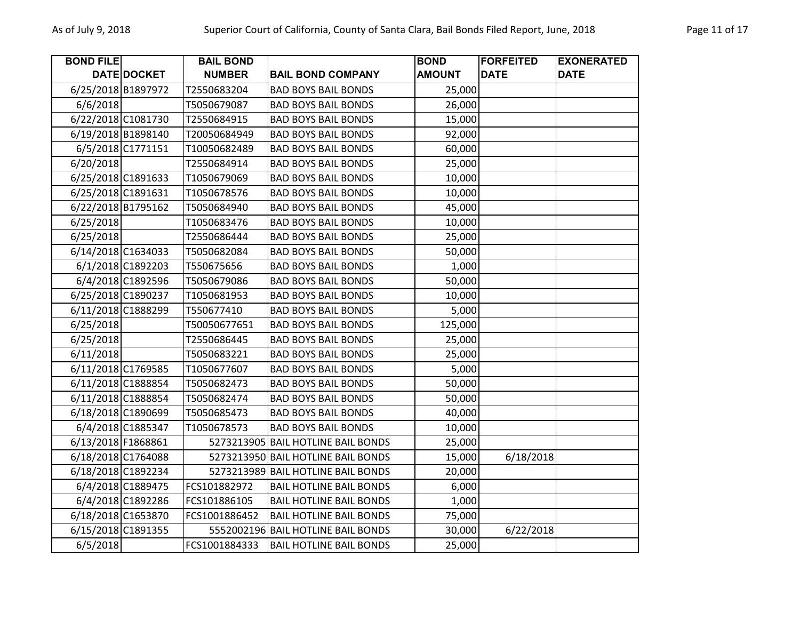| <b>BOND FILE</b>   |                    | <b>BAIL BOND</b> |                                    | <b>BOND</b>   | <b>FORFEITED</b> | <b>EXONERATED</b> |
|--------------------|--------------------|------------------|------------------------------------|---------------|------------------|-------------------|
|                    | DATE DOCKET        | <b>NUMBER</b>    | <b>BAIL BOND COMPANY</b>           | <b>AMOUNT</b> | <b>DATE</b>      | <b>DATE</b>       |
| 6/25/2018 B1897972 |                    | T2550683204      | <b>BAD BOYS BAIL BONDS</b>         | 25,000        |                  |                   |
| 6/6/2018           |                    | T5050679087      | <b>BAD BOYS BAIL BONDS</b>         | 26,000        |                  |                   |
| 6/22/2018 C1081730 |                    | T2550684915      | <b>BAD BOYS BAIL BONDS</b>         | 15,000        |                  |                   |
|                    | 6/19/2018 B1898140 | T20050684949     | <b>BAD BOYS BAIL BONDS</b>         | 92,000        |                  |                   |
|                    | 6/5/2018 C1771151  | T10050682489     | <b>BAD BOYS BAIL BONDS</b>         | 60,000        |                  |                   |
| 6/20/2018          |                    | T2550684914      | <b>BAD BOYS BAIL BONDS</b>         | 25,000        |                  |                   |
| 6/25/2018 C1891633 |                    | T1050679069      | <b>BAD BOYS BAIL BONDS</b>         | 10,000        |                  |                   |
| 6/25/2018 C1891631 |                    | T1050678576      | <b>BAD BOYS BAIL BONDS</b>         | 10,000        |                  |                   |
| 6/22/2018 B1795162 |                    | T5050684940      | <b>BAD BOYS BAIL BONDS</b>         | 45,000        |                  |                   |
| 6/25/2018          |                    | T1050683476      | <b>BAD BOYS BAIL BONDS</b>         | 10,000        |                  |                   |
| 6/25/2018          |                    | T2550686444      | <b>BAD BOYS BAIL BONDS</b>         | 25,000        |                  |                   |
| 6/14/2018 C1634033 |                    | T5050682084      | <b>BAD BOYS BAIL BONDS</b>         | 50,000        |                  |                   |
|                    | 6/1/2018 C1892203  | T550675656       | <b>BAD BOYS BAIL BONDS</b>         | 1,000         |                  |                   |
|                    | 6/4/2018 C1892596  | T5050679086      | <b>BAD BOYS BAIL BONDS</b>         | 50,000        |                  |                   |
|                    | 6/25/2018 C1890237 | T1050681953      | <b>BAD BOYS BAIL BONDS</b>         | 10,000        |                  |                   |
| 6/11/2018 C1888299 |                    | T550677410       | <b>BAD BOYS BAIL BONDS</b>         | 5,000         |                  |                   |
| 6/25/2018          |                    | T50050677651     | <b>BAD BOYS BAIL BONDS</b>         | 125,000       |                  |                   |
| 6/25/2018          |                    | T2550686445      | <b>BAD BOYS BAIL BONDS</b>         | 25,000        |                  |                   |
| 6/11/2018          |                    | T5050683221      | <b>BAD BOYS BAIL BONDS</b>         | 25,000        |                  |                   |
| 6/11/2018 C1769585 |                    | T1050677607      | <b>BAD BOYS BAIL BONDS</b>         | 5,000         |                  |                   |
| 6/11/2018 C1888854 |                    | T5050682473      | <b>BAD BOYS BAIL BONDS</b>         | 50,000        |                  |                   |
| 6/11/2018 C1888854 |                    | T5050682474      | <b>BAD BOYS BAIL BONDS</b>         | 50,000        |                  |                   |
| 6/18/2018 C1890699 |                    | T5050685473      | <b>BAD BOYS BAIL BONDS</b>         | 40,000        |                  |                   |
|                    | 6/4/2018 C1885347  | T1050678573      | <b>BAD BOYS BAIL BONDS</b>         | 10,000        |                  |                   |
| 6/13/2018 F1868861 |                    |                  | 5273213905 BAIL HOTLINE BAIL BONDS | 25,000        |                  |                   |
| 6/18/2018 C1764088 |                    |                  | 5273213950 BAIL HOTLINE BAIL BONDS | 15,000        | 6/18/2018        |                   |
| 6/18/2018 C1892234 |                    |                  | 5273213989 BAIL HOTLINE BAIL BONDS | 20,000        |                  |                   |
|                    | 6/4/2018 C1889475  | FCS101882972     | <b>BAIL HOTLINE BAIL BONDS</b>     | 6,000         |                  |                   |
|                    | 6/4/2018 C1892286  | FCS101886105     | <b>BAIL HOTLINE BAIL BONDS</b>     | 1,000         |                  |                   |
|                    | 6/18/2018 C1653870 | FCS1001886452    | <b>BAIL HOTLINE BAIL BONDS</b>     | 75,000        |                  |                   |
| 6/15/2018 C1891355 |                    |                  | 5552002196 BAIL HOTLINE BAIL BONDS | 30,000        | 6/22/2018        |                   |
| 6/5/2018           |                    | FCS1001884333    | <b>BAIL HOTLINE BAIL BONDS</b>     | 25,000        |                  |                   |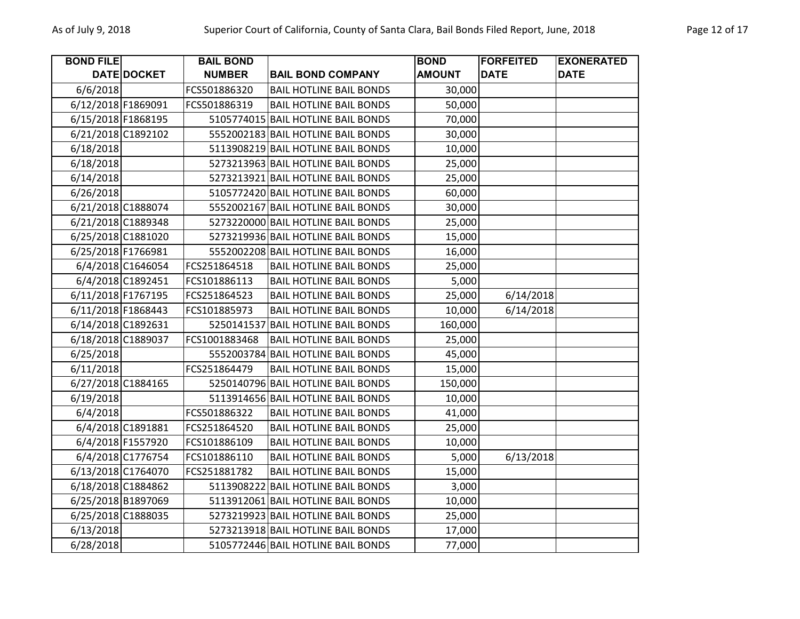| <b>BOND FILE</b>   |                    | <b>BAIL BOND</b> |                                    | <b>BOND</b>   | <b>FORFEITED</b> | <b>EXONERATED</b> |
|--------------------|--------------------|------------------|------------------------------------|---------------|------------------|-------------------|
|                    | <b>DATE DOCKET</b> | <b>NUMBER</b>    | <b>BAIL BOND COMPANY</b>           | <b>AMOUNT</b> | <b>DATE</b>      | <b>DATE</b>       |
| 6/6/2018           |                    | FCS501886320     | <b>BAIL HOTLINE BAIL BONDS</b>     | 30,000        |                  |                   |
| 6/12/2018 F1869091 |                    | FCS501886319     | <b>BAIL HOTLINE BAIL BONDS</b>     | 50,000        |                  |                   |
| 6/15/2018 F1868195 |                    |                  | 5105774015 BAIL HOTLINE BAIL BONDS | 70,000        |                  |                   |
|                    | 6/21/2018 C1892102 |                  | 5552002183 BAIL HOTLINE BAIL BONDS | 30,000        |                  |                   |
| 6/18/2018          |                    |                  | 5113908219 BAIL HOTLINE BAIL BONDS | 10,000        |                  |                   |
| 6/18/2018          |                    |                  | 5273213963 BAIL HOTLINE BAIL BONDS | 25,000        |                  |                   |
| 6/14/2018          |                    |                  | 5273213921 BAIL HOTLINE BAIL BONDS | 25,000        |                  |                   |
| 6/26/2018          |                    |                  | 5105772420 BAIL HOTLINE BAIL BONDS | 60,000        |                  |                   |
|                    | 6/21/2018 C1888074 |                  | 5552002167 BAIL HOTLINE BAIL BONDS | 30,000        |                  |                   |
|                    | 6/21/2018 C1889348 |                  | 5273220000 BAIL HOTLINE BAIL BONDS | 25,000        |                  |                   |
|                    | 6/25/2018 C1881020 |                  | 5273219936 BAIL HOTLINE BAIL BONDS | 15,000        |                  |                   |
| 6/25/2018 F1766981 |                    |                  | 5552002208 BAIL HOTLINE BAIL BONDS | 16,000        |                  |                   |
|                    | 6/4/2018 C1646054  | FCS251864518     | <b>BAIL HOTLINE BAIL BONDS</b>     | 25,000        |                  |                   |
|                    | 6/4/2018 C1892451  | FCS101886113     | <b>BAIL HOTLINE BAIL BONDS</b>     | 5,000         |                  |                   |
| 6/11/2018 F1767195 |                    | FCS251864523     | <b>BAIL HOTLINE BAIL BONDS</b>     | 25,000        | 6/14/2018        |                   |
| 6/11/2018 F1868443 |                    | FCS101885973     | <b>BAIL HOTLINE BAIL BONDS</b>     | 10,000        | 6/14/2018        |                   |
| 6/14/2018 C1892631 |                    | 5250141537       | <b>BAIL HOTLINE BAIL BONDS</b>     | 160,000       |                  |                   |
| 6/18/2018 C1889037 |                    | FCS1001883468    | <b>BAIL HOTLINE BAIL BONDS</b>     | 25,000        |                  |                   |
| 6/25/2018          |                    |                  | 5552003784 BAIL HOTLINE BAIL BONDS | 45,000        |                  |                   |
| 6/11/2018          |                    | FCS251864479     | <b>BAIL HOTLINE BAIL BONDS</b>     | 15,000        |                  |                   |
|                    | 6/27/2018 C1884165 |                  | 5250140796 BAIL HOTLINE BAIL BONDS | 150,000       |                  |                   |
| 6/19/2018          |                    |                  | 5113914656 BAIL HOTLINE BAIL BONDS | 10,000        |                  |                   |
| 6/4/2018           |                    | FCS501886322     | <b>BAIL HOTLINE BAIL BONDS</b>     | 41,000        |                  |                   |
|                    | 6/4/2018 C1891881  | FCS251864520     | <b>BAIL HOTLINE BAIL BONDS</b>     | 25,000        |                  |                   |
|                    | 6/4/2018 F1557920  | FCS101886109     | <b>BAIL HOTLINE BAIL BONDS</b>     | 10,000        |                  |                   |
|                    | 6/4/2018 C1776754  | FCS101886110     | <b>BAIL HOTLINE BAIL BONDS</b>     | 5,000         | 6/13/2018        |                   |
|                    | 6/13/2018 C1764070 | FCS251881782     | <b>BAIL HOTLINE BAIL BONDS</b>     | 15,000        |                  |                   |
|                    | 6/18/2018 C1884862 |                  | 5113908222 BAIL HOTLINE BAIL BONDS | 3,000         |                  |                   |
|                    | 6/25/2018 B1897069 |                  | 5113912061 BAIL HOTLINE BAIL BONDS | 10,000        |                  |                   |
|                    | 6/25/2018 C1888035 |                  | 5273219923 BAIL HOTLINE BAIL BONDS | 25,000        |                  |                   |
| 6/13/2018          |                    |                  | 5273213918 BAIL HOTLINE BAIL BONDS | 17,000        |                  |                   |
| 6/28/2018          |                    |                  | 5105772446 BAIL HOTLINE BAIL BONDS | 77,000        |                  |                   |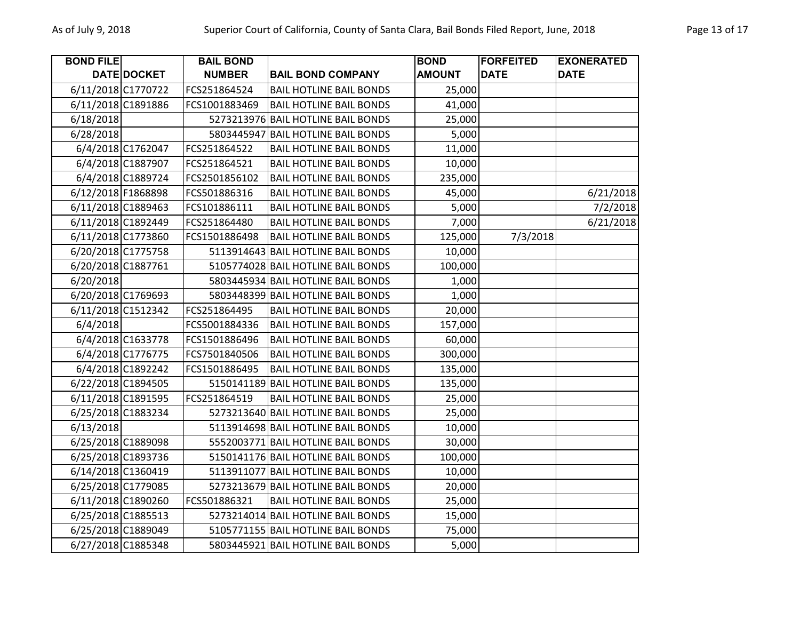| <b>BOND FILE</b>   |                    | <b>BAIL BOND</b> |                                    | <b>BOND</b>   | <b>FORFEITED</b> | <b>EXONERATED</b> |
|--------------------|--------------------|------------------|------------------------------------|---------------|------------------|-------------------|
|                    | DATE DOCKET        | <b>NUMBER</b>    | <b>BAIL BOND COMPANY</b>           | <b>AMOUNT</b> | <b>DATE</b>      | <b>DATE</b>       |
| 6/11/2018 C1770722 |                    | FCS251864524     | <b>BAIL HOTLINE BAIL BONDS</b>     | 25,000        |                  |                   |
| 6/11/2018 C1891886 |                    | FCS1001883469    | <b>BAIL HOTLINE BAIL BONDS</b>     | 41,000        |                  |                   |
| 6/18/2018          |                    |                  | 5273213976 BAIL HOTLINE BAIL BONDS | 25,000        |                  |                   |
| 6/28/2018          |                    | 5803445947       | <b>BAIL HOTLINE BAIL BONDS</b>     | 5,000         |                  |                   |
|                    | 6/4/2018 C1762047  | FCS251864522     | <b>BAIL HOTLINE BAIL BONDS</b>     | 11,000        |                  |                   |
|                    | 6/4/2018 C1887907  | FCS251864521     | <b>BAIL HOTLINE BAIL BONDS</b>     | 10,000        |                  |                   |
|                    | 6/4/2018 C1889724  | FCS2501856102    | <b>BAIL HOTLINE BAIL BONDS</b>     | 235,000       |                  |                   |
| 6/12/2018 F1868898 |                    | FCS501886316     | <b>BAIL HOTLINE BAIL BONDS</b>     | 45,000        |                  | 6/21/2018         |
| 6/11/2018 C1889463 |                    | FCS101886111     | <b>BAIL HOTLINE BAIL BONDS</b>     | 5,000         |                  | 7/2/2018          |
| 6/11/2018 C1892449 |                    | FCS251864480     | <b>BAIL HOTLINE BAIL BONDS</b>     | 7,000         |                  | 6/21/2018         |
| 6/11/2018 C1773860 |                    | FCS1501886498    | <b>BAIL HOTLINE BAIL BONDS</b>     | 125,000       | 7/3/2018         |                   |
| 6/20/2018 C1775758 |                    |                  | 5113914643 BAIL HOTLINE BAIL BONDS | 10,000        |                  |                   |
| 6/20/2018 C1887761 |                    |                  | 5105774028 BAIL HOTLINE BAIL BONDS | 100,000       |                  |                   |
| 6/20/2018          |                    |                  | 5803445934 BAIL HOTLINE BAIL BONDS | 1,000         |                  |                   |
| 6/20/2018 C1769693 |                    |                  | 5803448399 BAIL HOTLINE BAIL BONDS | 1,000         |                  |                   |
| 6/11/2018 C1512342 |                    | FCS251864495     | <b>BAIL HOTLINE BAIL BONDS</b>     | 20,000        |                  |                   |
| 6/4/2018           |                    | FCS5001884336    | <b>BAIL HOTLINE BAIL BONDS</b>     | 157,000       |                  |                   |
|                    | 6/4/2018 C1633778  | FCS1501886496    | <b>BAIL HOTLINE BAIL BONDS</b>     | 60,000        |                  |                   |
|                    | 6/4/2018 C1776775  | FCS7501840506    | <b>BAIL HOTLINE BAIL BONDS</b>     | 300,000       |                  |                   |
|                    | 6/4/2018 C1892242  | FCS1501886495    | <b>BAIL HOTLINE BAIL BONDS</b>     | 135,000       |                  |                   |
|                    | 6/22/2018 C1894505 |                  | 5150141189 BAIL HOTLINE BAIL BONDS | 135,000       |                  |                   |
| 6/11/2018 C1891595 |                    | FCS251864519     | <b>BAIL HOTLINE BAIL BONDS</b>     | 25,000        |                  |                   |
| 6/25/2018 C1883234 |                    |                  | 5273213640 BAIL HOTLINE BAIL BONDS | 25,000        |                  |                   |
| 6/13/2018          |                    |                  | 5113914698 BAIL HOTLINE BAIL BONDS | 10,000        |                  |                   |
| 6/25/2018 C1889098 |                    |                  | 5552003771 BAIL HOTLINE BAIL BONDS | 30,000        |                  |                   |
| 6/25/2018 C1893736 |                    |                  | 5150141176 BAIL HOTLINE BAIL BONDS | 100,000       |                  |                   |
| 6/14/2018 C1360419 |                    |                  | 5113911077 BAIL HOTLINE BAIL BONDS | 10,000        |                  |                   |
| 6/25/2018 C1779085 |                    |                  | 5273213679 BAIL HOTLINE BAIL BONDS | 20,000        |                  |                   |
| 6/11/2018 C1890260 |                    | FCS501886321     | <b>BAIL HOTLINE BAIL BONDS</b>     | 25,000        |                  |                   |
| 6/25/2018 C1885513 |                    |                  | 5273214014 BAIL HOTLINE BAIL BONDS | 15,000        |                  |                   |
| 6/25/2018 C1889049 |                    |                  | 5105771155 BAIL HOTLINE BAIL BONDS | 75,000        |                  |                   |
| 6/27/2018 C1885348 |                    |                  | 5803445921 BAIL HOTLINE BAIL BONDS | 5,000         |                  |                   |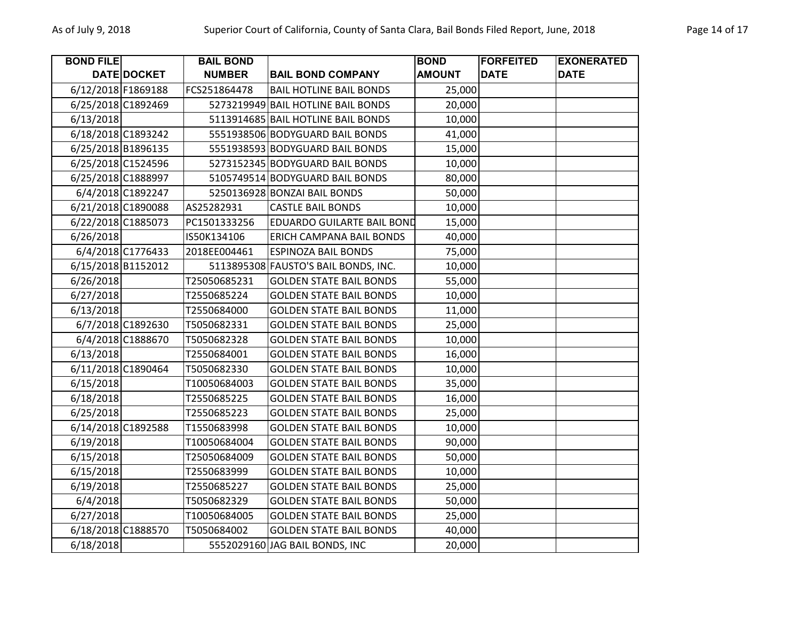| <b>BOND FILE</b>   |                    | <b>BAIL BOND</b> |                                      | <b>BOND</b>   | <b>FORFEITED</b> | <b>EXONERATED</b> |
|--------------------|--------------------|------------------|--------------------------------------|---------------|------------------|-------------------|
|                    | <b>DATE DOCKET</b> | <b>NUMBER</b>    | <b>BAIL BOND COMPANY</b>             | <b>AMOUNT</b> | <b>DATE</b>      | <b>DATE</b>       |
| 6/12/2018 F1869188 |                    | FCS251864478     | <b>BAIL HOTLINE BAIL BONDS</b>       | 25,000        |                  |                   |
| 6/25/2018 C1892469 |                    |                  | 5273219949 BAIL HOTLINE BAIL BONDS   | 20,000        |                  |                   |
| 6/13/2018          |                    |                  | 5113914685 BAIL HOTLINE BAIL BONDS   | 10,000        |                  |                   |
|                    | 6/18/2018 C1893242 |                  | 5551938506 BODYGUARD BAIL BONDS      | 41,000        |                  |                   |
|                    | 6/25/2018 B1896135 |                  | 5551938593 BODYGUARD BAIL BONDS      | 15,000        |                  |                   |
|                    | 6/25/2018 C1524596 |                  | 5273152345 BODYGUARD BAIL BONDS      | 10,000        |                  |                   |
|                    | 6/25/2018 C1888997 |                  | 5105749514 BODYGUARD BAIL BONDS      | 80,000        |                  |                   |
|                    | 6/4/2018 C1892247  |                  | 5250136928 BONZAI BAIL BONDS         | 50,000        |                  |                   |
|                    | 6/21/2018 C1890088 | AS25282931       | <b>CASTLE BAIL BONDS</b>             | 10,000        |                  |                   |
|                    | 6/22/2018 C1885073 | PC1501333256     | <b>EDUARDO GUILARTE BAIL BOND</b>    | 15,000        |                  |                   |
| 6/26/2018          |                    | IS50K134106      | ERICH CAMPANA BAIL BONDS             | 40,000        |                  |                   |
|                    | 6/4/2018 C1776433  | 2018EE004461     | <b>ESPINOZA BAIL BONDS</b>           | 75,000        |                  |                   |
|                    | 6/15/2018 B1152012 |                  | 5113895308 FAUSTO'S BAIL BONDS, INC. | 10,000        |                  |                   |
| 6/26/2018          |                    | T25050685231     | <b>GOLDEN STATE BAIL BONDS</b>       | 55,000        |                  |                   |
| 6/27/2018          |                    | T2550685224      | <b>GOLDEN STATE BAIL BONDS</b>       | 10,000        |                  |                   |
| 6/13/2018          |                    | T2550684000      | <b>GOLDEN STATE BAIL BONDS</b>       | 11,000        |                  |                   |
|                    | 6/7/2018 C1892630  | T5050682331      | <b>GOLDEN STATE BAIL BONDS</b>       | 25,000        |                  |                   |
|                    | 6/4/2018 C1888670  | T5050682328      | <b>GOLDEN STATE BAIL BONDS</b>       | 10,000        |                  |                   |
| 6/13/2018          |                    | T2550684001      | <b>GOLDEN STATE BAIL BONDS</b>       | 16,000        |                  |                   |
|                    | 6/11/2018 C1890464 | T5050682330      | <b>GOLDEN STATE BAIL BONDS</b>       | 10,000        |                  |                   |
| 6/15/2018          |                    | T10050684003     | <b>GOLDEN STATE BAIL BONDS</b>       | 35,000        |                  |                   |
| 6/18/2018          |                    | T2550685225      | <b>GOLDEN STATE BAIL BONDS</b>       | 16,000        |                  |                   |
| 6/25/2018          |                    | T2550685223      | <b>GOLDEN STATE BAIL BONDS</b>       | 25,000        |                  |                   |
|                    | 6/14/2018 C1892588 | T1550683998      | <b>GOLDEN STATE BAIL BONDS</b>       | 10,000        |                  |                   |
| 6/19/2018          |                    | T10050684004     | <b>GOLDEN STATE BAIL BONDS</b>       | 90,000        |                  |                   |
| 6/15/2018          |                    | T25050684009     | <b>GOLDEN STATE BAIL BONDS</b>       | 50,000        |                  |                   |
| 6/15/2018          |                    | T2550683999      | <b>GOLDEN STATE BAIL BONDS</b>       | 10,000        |                  |                   |
| 6/19/2018          |                    | T2550685227      | <b>GOLDEN STATE BAIL BONDS</b>       | 25,000        |                  |                   |
| 6/4/2018           |                    | T5050682329      | <b>GOLDEN STATE BAIL BONDS</b>       | 50,000        |                  |                   |
| 6/27/2018          |                    | T10050684005     | <b>GOLDEN STATE BAIL BONDS</b>       | 25,000        |                  |                   |
|                    | 6/18/2018 C1888570 | T5050684002      | <b>GOLDEN STATE BAIL BONDS</b>       | 40,000        |                  |                   |
| 6/18/2018          |                    |                  | 5552029160 JAG BAIL BONDS, INC       | 20,000        |                  |                   |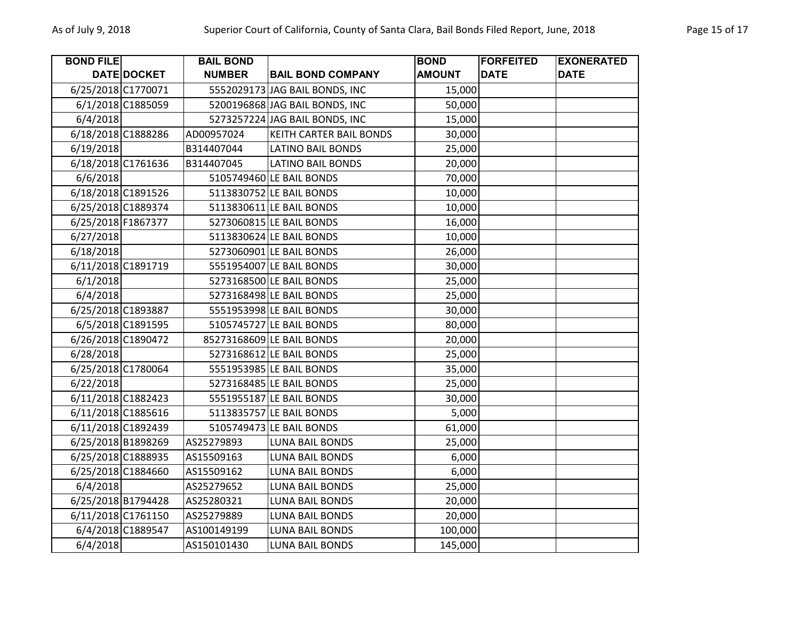| <b>BOND FILE</b>   |                    | <b>BAIL BOND</b> |                                | <b>BOND</b>   | <b>FORFEITED</b> | <b>EXONERATED</b> |
|--------------------|--------------------|------------------|--------------------------------|---------------|------------------|-------------------|
|                    | DATE DOCKET        | <b>NUMBER</b>    | <b>BAIL BOND COMPANY</b>       | <b>AMOUNT</b> | <b>DATE</b>      | <b>DATE</b>       |
| 6/25/2018 C1770071 |                    |                  | 5552029173 JAG BAIL BONDS, INC | 15,000        |                  |                   |
|                    | 6/1/2018 C1885059  |                  | 5200196868 JAG BAIL BONDS, INC | 50,000        |                  |                   |
| 6/4/2018           |                    |                  | 5273257224 JAG BAIL BONDS, INC | 15,000        |                  |                   |
| 6/18/2018 C1888286 |                    | AD00957024       | <b>KEITH CARTER BAIL BONDS</b> | 30,000        |                  |                   |
| 6/19/2018          |                    | B314407044       | <b>LATINO BAIL BONDS</b>       | 25,000        |                  |                   |
|                    | 6/18/2018 C1761636 | B314407045       | <b>LATINO BAIL BONDS</b>       | 20,000        |                  |                   |
| 6/6/2018           |                    |                  | 5105749460 LE BAIL BONDS       | 70,000        |                  |                   |
| 6/18/2018 C1891526 |                    |                  | 5113830752 LE BAIL BONDS       | 10,000        |                  |                   |
|                    | 6/25/2018 C1889374 |                  | 5113830611 LE BAIL BONDS       | 10,000        |                  |                   |
| 6/25/2018 F1867377 |                    |                  | 5273060815 LE BAIL BONDS       | 16,000        |                  |                   |
| 6/27/2018          |                    |                  | 5113830624 LE BAIL BONDS       | 10,000        |                  |                   |
| 6/18/2018          |                    |                  | 5273060901 LE BAIL BONDS       | 26,000        |                  |                   |
| 6/11/2018 C1891719 |                    |                  | 5551954007 LE BAIL BONDS       | 30,000        |                  |                   |
| 6/1/2018           |                    |                  | 5273168500 LE BAIL BONDS       | 25,000        |                  |                   |
| 6/4/2018           |                    |                  | 5273168498 LE BAIL BONDS       | 25,000        |                  |                   |
|                    | 6/25/2018 C1893887 |                  | 5551953998 LE BAIL BONDS       | 30,000        |                  |                   |
|                    | 6/5/2018 C1891595  |                  | 5105745727 LE BAIL BONDS       | 80,000        |                  |                   |
| 6/26/2018 C1890472 |                    |                  | 85273168609 LE BAIL BONDS      | 20,000        |                  |                   |
| 6/28/2018          |                    |                  | 5273168612 LE BAIL BONDS       | 25,000        |                  |                   |
| 6/25/2018 C1780064 |                    |                  | 5551953985 LE BAIL BONDS       | 35,000        |                  |                   |
| 6/22/2018          |                    |                  | 5273168485 LE BAIL BONDS       | 25,000        |                  |                   |
| 6/11/2018 C1882423 |                    |                  | 5551955187 LE BAIL BONDS       | 30,000        |                  |                   |
| 6/11/2018 C1885616 |                    |                  | 5113835757 LE BAIL BONDS       | 5,000         |                  |                   |
| 6/11/2018 C1892439 |                    |                  | 5105749473 LE BAIL BONDS       | 61,000        |                  |                   |
| 6/25/2018 B1898269 |                    | AS25279893       | <b>LUNA BAIL BONDS</b>         | 25,000        |                  |                   |
| 6/25/2018 C1888935 |                    | AS15509163       | <b>LUNA BAIL BONDS</b>         | 6,000         |                  |                   |
| 6/25/2018 C1884660 |                    | AS15509162       | <b>LUNA BAIL BONDS</b>         | 6,000         |                  |                   |
| 6/4/2018           |                    | AS25279652       | <b>LUNA BAIL BONDS</b>         | 25,000        |                  |                   |
|                    | 6/25/2018 B1794428 | AS25280321       | <b>LUNA BAIL BONDS</b>         | 20,000        |                  |                   |
|                    | 6/11/2018 C1761150 | AS25279889       | LUNA BAIL BONDS                | 20,000        |                  |                   |
|                    | 6/4/2018 C1889547  | AS100149199      | <b>LUNA BAIL BONDS</b>         | 100,000       |                  |                   |
| 6/4/2018           |                    | AS150101430      | <b>LUNA BAIL BONDS</b>         | 145,000       |                  |                   |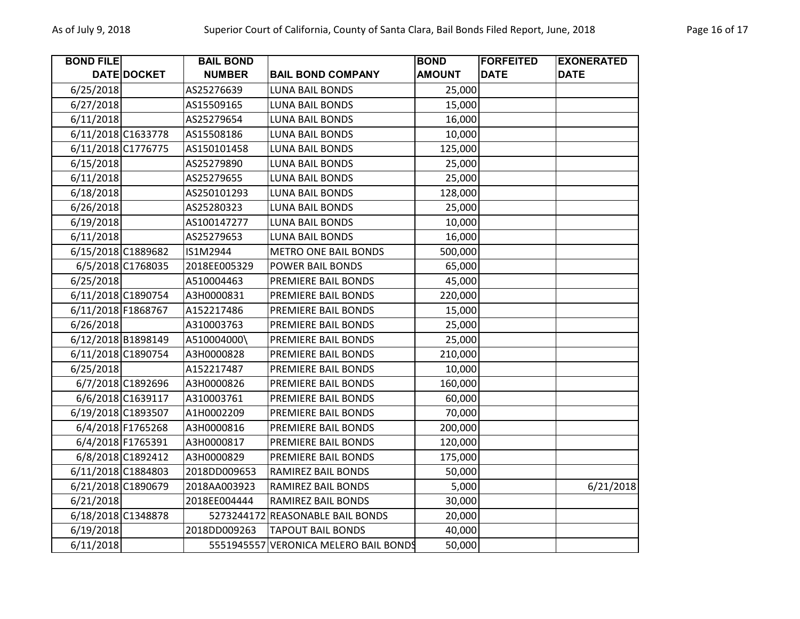| <b>BOND FILE</b> |                    | <b>BAIL BOND</b> |                                       | <b>BOND</b>   | <b>FORFEITED</b> | <b>EXONERATED</b> |
|------------------|--------------------|------------------|---------------------------------------|---------------|------------------|-------------------|
|                  | DATE DOCKET        | <b>NUMBER</b>    | <b>BAIL BOND COMPANY</b>              | <b>AMOUNT</b> | <b>DATE</b>      | <b>DATE</b>       |
| 6/25/2018        |                    | AS25276639       | <b>LUNA BAIL BONDS</b>                | 25,000        |                  |                   |
| 6/27/2018        |                    | AS15509165       | <b>LUNA BAIL BONDS</b>                | 15,000        |                  |                   |
| 6/11/2018        |                    | AS25279654       | <b>LUNA BAIL BONDS</b>                | 16,000        |                  |                   |
|                  | 6/11/2018 C1633778 | AS15508186       | <b>LUNA BAIL BONDS</b>                | 10,000        |                  |                   |
|                  | 6/11/2018 C1776775 | AS150101458      | <b>LUNA BAIL BONDS</b>                | 125,000       |                  |                   |
| 6/15/2018        |                    | AS25279890       | <b>LUNA BAIL BONDS</b>                | 25,000        |                  |                   |
| 6/11/2018        |                    | AS25279655       | <b>LUNA BAIL BONDS</b>                | 25,000        |                  |                   |
| 6/18/2018        |                    | AS250101293      | <b>LUNA BAIL BONDS</b>                | 128,000       |                  |                   |
| 6/26/2018        |                    | AS25280323       | LUNA BAIL BONDS                       | 25,000        |                  |                   |
| 6/19/2018        |                    | AS100147277      | <b>LUNA BAIL BONDS</b>                | 10,000        |                  |                   |
| 6/11/2018        |                    | AS25279653       | <b>LUNA BAIL BONDS</b>                | 16,000        |                  |                   |
|                  | 6/15/2018 C1889682 | IS1M2944         | <b>METRO ONE BAIL BONDS</b>           | 500,000       |                  |                   |
|                  | 6/5/2018 C1768035  | 2018EE005329     | POWER BAIL BONDS                      | 65,000        |                  |                   |
| 6/25/2018        |                    | A510004463       | PREMIERE BAIL BONDS                   | 45,000        |                  |                   |
|                  | 6/11/2018 C1890754 | A3H0000831       | PREMIERE BAIL BONDS                   | 220,000       |                  |                   |
|                  | 6/11/2018 F1868767 | A152217486       | PREMIERE BAIL BONDS                   | 15,000        |                  |                   |
| 6/26/2018        |                    | A310003763       | PREMIERE BAIL BONDS                   | 25,000        |                  |                   |
|                  | 6/12/2018 B1898149 | A510004000\      | <b>PREMIERE BAIL BONDS</b>            | 25,000        |                  |                   |
|                  | 6/11/2018 C1890754 | A3H0000828       | PREMIERE BAIL BONDS                   | 210,000       |                  |                   |
| 6/25/2018        |                    | A152217487       | PREMIERE BAIL BONDS                   | 10,000        |                  |                   |
|                  | 6/7/2018 C1892696  | A3H0000826       | PREMIERE BAIL BONDS                   | 160,000       |                  |                   |
|                  | 6/6/2018 C1639117  | A310003761       | PREMIERE BAIL BONDS                   | 60,000        |                  |                   |
|                  | 6/19/2018 C1893507 | A1H0002209       | PREMIERE BAIL BONDS                   | 70,000        |                  |                   |
|                  | 6/4/2018 F1765268  | A3H0000816       | PREMIERE BAIL BONDS                   | 200,000       |                  |                   |
|                  | 6/4/2018 F1765391  | A3H0000817       | PREMIERE BAIL BONDS                   | 120,000       |                  |                   |
|                  | 6/8/2018 C1892412  | A3H0000829       | PREMIERE BAIL BONDS                   | 175,000       |                  |                   |
|                  | 6/11/2018 C1884803 | 2018DD009653     | <b>RAMIREZ BAIL BONDS</b>             | 50,000        |                  |                   |
|                  | 6/21/2018 C1890679 | 2018AA003923     | <b>RAMIREZ BAIL BONDS</b>             | 5,000         |                  | 6/21/2018         |
| 6/21/2018        |                    | 2018EE004444     | <b>RAMIREZ BAIL BONDS</b>             | 30,000        |                  |                   |
|                  | 6/18/2018 C1348878 |                  | 5273244172 REASONABLE BAIL BONDS      | 20,000        |                  |                   |
| 6/19/2018        |                    | 2018DD009263     | <b>TAPOUT BAIL BONDS</b>              | 40,000        |                  |                   |
| 6/11/2018        |                    |                  | 5551945557 VERONICA MELERO BAIL BONDS | 50,000        |                  |                   |